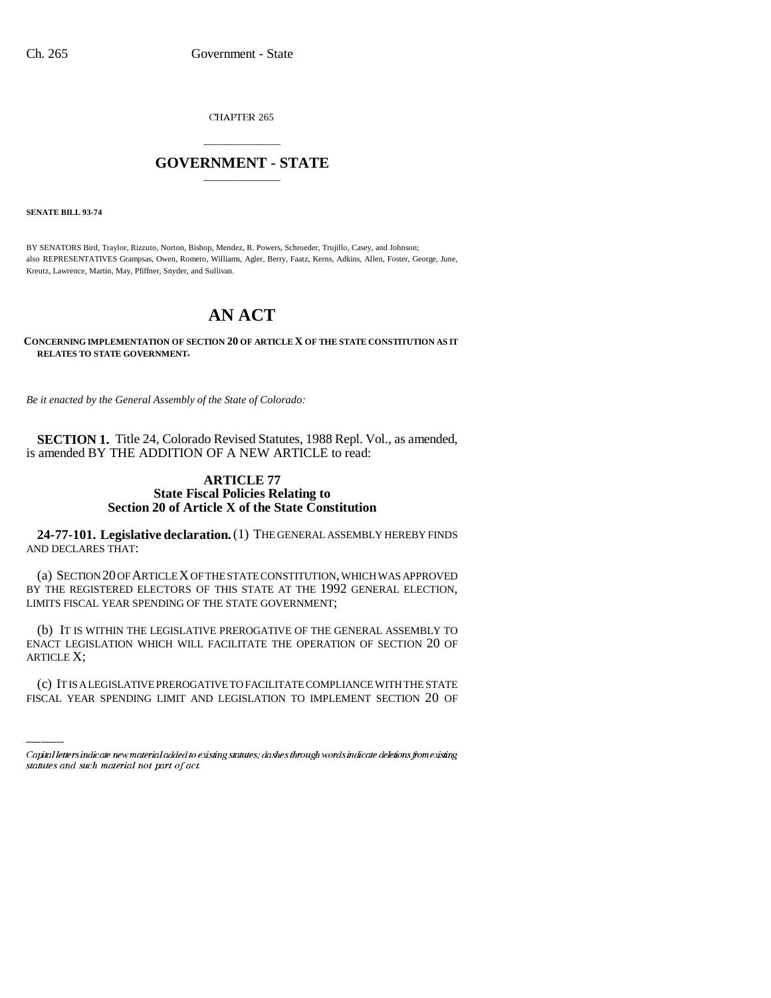CHAPTER 265

## \_\_\_\_\_\_\_\_\_\_\_\_\_\_\_ **GOVERNMENT - STATE** \_\_\_\_\_\_\_\_\_\_\_\_\_\_\_

**SENATE BILL 93-74**

BY SENATORS Bird, Traylor, Rizzuto, Norton, Bishop, Mendez, R. Powers, Schroeder, Trujillo, Casey, and Johnson; also REPRESENTATIVES Grampsas, Owen, Romero, Williams, Agler, Berry, Faatz, Kerns, Adkins, Allen, Foster, George, June, Kreutz, Lawrence, Martin, May, Pfiffner, Snyder, and Sullivan.

# **AN ACT**

#### **CONCERNING IMPLEMENTATION OF SECTION 20 OF ARTICLE X OF THE STATE CONSTITUTION AS IT RELATES TO STATE GOVERNMENT.**

*Be it enacted by the General Assembly of the State of Colorado:*

**SECTION 1.** Title 24, Colorado Revised Statutes, 1988 Repl. Vol., as amended, is amended BY THE ADDITION OF A NEW ARTICLE to read:

### **ARTICLE 77 State Fiscal Policies Relating to Section 20 of Article X of the State Constitution**

**24-77-101. Legislative declaration.** (1) THE GENERAL ASSEMBLY HEREBY FINDS AND DECLARES THAT:

(a) SECTION 20 OF ARTICLE X OF THE STATE CONSTITUTION, WHICH WAS APPROVED BY THE REGISTERED ELECTORS OF THIS STATE AT THE 1992 GENERAL ELECTION, LIMITS FISCAL YEAR SPENDING OF THE STATE GOVERNMENT;

ENACT LEGISLATION WHICH WILL FACILITATE THE OPERATION OF SECTION 20 OF (b) IT IS WITHIN THE LEGISLATIVE PREROGATIVE OF THE GENERAL ASSEMBLY TO ARTICLE X;

(c) IT IS A LEGISLATIVE PREROGATIVE TO FACILITATE COMPLIANCE WITH THE STATE FISCAL YEAR SPENDING LIMIT AND LEGISLATION TO IMPLEMENT SECTION 20 OF

Capital letters indicate new material added to existing statutes; dashes through words indicate deletions from existing statutes and such material not part of act.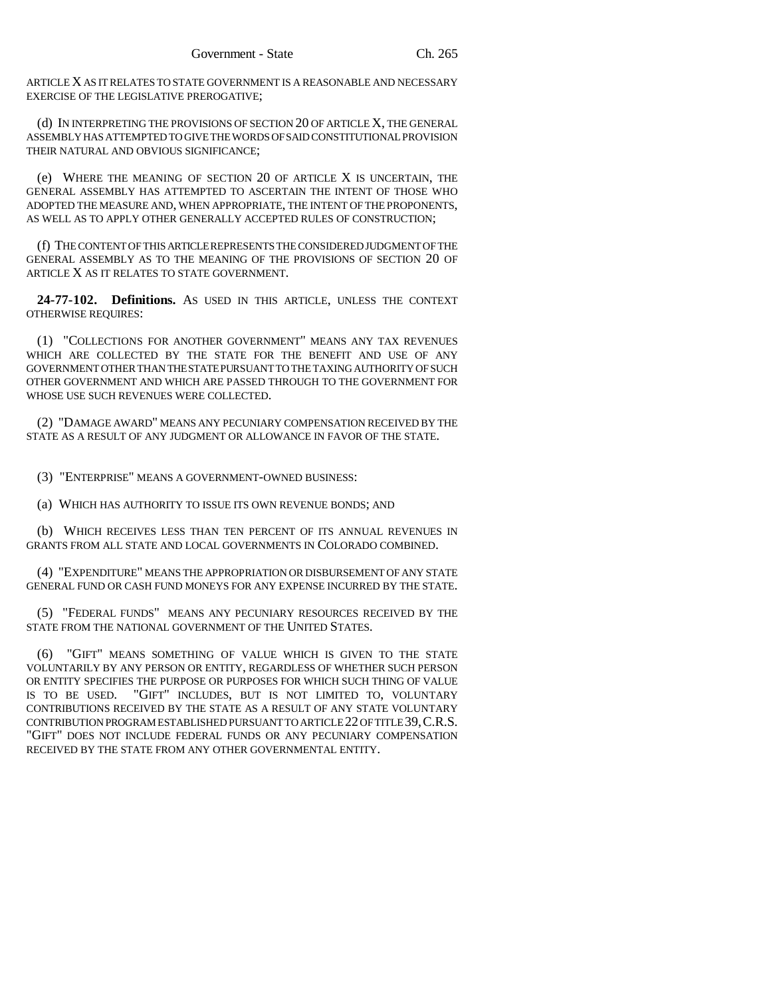ARTICLE X AS IT RELATES TO STATE GOVERNMENT IS A REASONABLE AND NECESSARY EXERCISE OF THE LEGISLATIVE PREROGATIVE;

(d) IN INTERPRETING THE PROVISIONS OF SECTION 20 OF ARTICLE X, THE GENERAL ASSEMBLY HAS ATTEMPTED TO GIVE THE WORDS OF SAID CONSTITUTIONAL PROVISION THEIR NATURAL AND OBVIOUS SIGNIFICANCE;

(e) WHERE THE MEANING OF SECTION 20 OF ARTICLE X IS UNCERTAIN, THE GENERAL ASSEMBLY HAS ATTEMPTED TO ASCERTAIN THE INTENT OF THOSE WHO ADOPTED THE MEASURE AND, WHEN APPROPRIATE, THE INTENT OF THE PROPONENTS, AS WELL AS TO APPLY OTHER GENERALLY ACCEPTED RULES OF CONSTRUCTION;

(f) THE CONTENT OF THIS ARTICLE REPRESENTS THE CONSIDERED JUDGMENT OF THE GENERAL ASSEMBLY AS TO THE MEANING OF THE PROVISIONS OF SECTION 20 OF ARTICLE X AS IT RELATES TO STATE GOVERNMENT.

**24-77-102. Definitions.** AS USED IN THIS ARTICLE, UNLESS THE CONTEXT OTHERWISE REQUIRES:

(1) "COLLECTIONS FOR ANOTHER GOVERNMENT" MEANS ANY TAX REVENUES WHICH ARE COLLECTED BY THE STATE FOR THE BENEFIT AND USE OF ANY GOVERNMENT OTHER THAN THE STATE PURSUANT TO THE TAXING AUTHORITY OF SUCH OTHER GOVERNMENT AND WHICH ARE PASSED THROUGH TO THE GOVERNMENT FOR WHOSE USE SUCH REVENUES WERE COLLECTED.

(2) "DAMAGE AWARD" MEANS ANY PECUNIARY COMPENSATION RECEIVED BY THE STATE AS A RESULT OF ANY JUDGMENT OR ALLOWANCE IN FAVOR OF THE STATE.

(3) "ENTERPRISE" MEANS A GOVERNMENT-OWNED BUSINESS:

(a) WHICH HAS AUTHORITY TO ISSUE ITS OWN REVENUE BONDS; AND

(b) WHICH RECEIVES LESS THAN TEN PERCENT OF ITS ANNUAL REVENUES IN GRANTS FROM ALL STATE AND LOCAL GOVERNMENTS IN COLORADO COMBINED.

(4) "EXPENDITURE" MEANS THE APPROPRIATION OR DISBURSEMENT OF ANY STATE GENERAL FUND OR CASH FUND MONEYS FOR ANY EXPENSE INCURRED BY THE STATE.

(5) "FEDERAL FUNDS" MEANS ANY PECUNIARY RESOURCES RECEIVED BY THE STATE FROM THE NATIONAL GOVERNMENT OF THE UNITED STATES.

(6) "GIFT" MEANS SOMETHING OF VALUE WHICH IS GIVEN TO THE STATE VOLUNTARILY BY ANY PERSON OR ENTITY, REGARDLESS OF WHETHER SUCH PERSON OR ENTITY SPECIFIES THE PURPOSE OR PURPOSES FOR WHICH SUCH THING OF VALUE IS TO BE USED. "GIFT" INCLUDES, BUT IS NOT LIMITED TO, VOLUNTARY CONTRIBUTIONS RECEIVED BY THE STATE AS A RESULT OF ANY STATE VOLUNTARY CONTRIBUTION PROGRAM ESTABLISHED PURSUANT TO ARTICLE 22 OF TITLE 39,C.R.S. "GIFT" DOES NOT INCLUDE FEDERAL FUNDS OR ANY PECUNIARY COMPENSATION RECEIVED BY THE STATE FROM ANY OTHER GOVERNMENTAL ENTITY.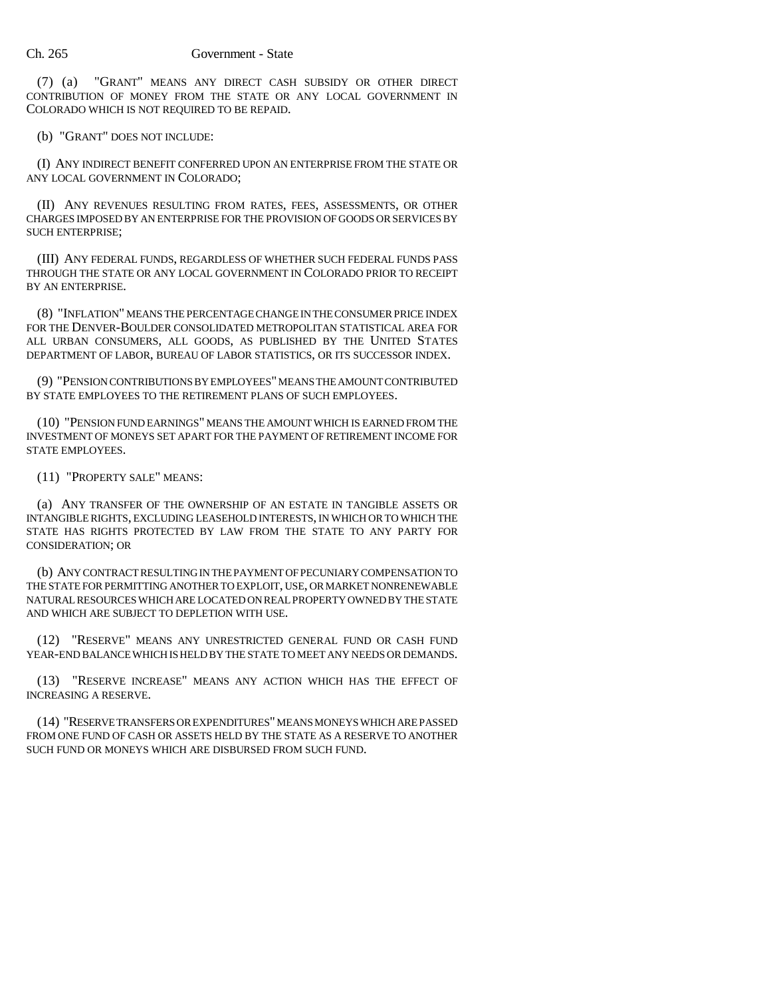(7) (a) "GRANT" MEANS ANY DIRECT CASH SUBSIDY OR OTHER DIRECT CONTRIBUTION OF MONEY FROM THE STATE OR ANY LOCAL GOVERNMENT IN COLORADO WHICH IS NOT REQUIRED TO BE REPAID.

(b) "GRANT" DOES NOT INCLUDE:

(I) ANY INDIRECT BENEFIT CONFERRED UPON AN ENTERPRISE FROM THE STATE OR ANY LOCAL GOVERNMENT IN COLORADO;

(II) ANY REVENUES RESULTING FROM RATES, FEES, ASSESSMENTS, OR OTHER CHARGES IMPOSED BY AN ENTERPRISE FOR THE PROVISION OF GOODS OR SERVICES BY SUCH ENTERPRISE;

(III) ANY FEDERAL FUNDS, REGARDLESS OF WHETHER SUCH FEDERAL FUNDS PASS THROUGH THE STATE OR ANY LOCAL GOVERNMENT IN COLORADO PRIOR TO RECEIPT BY AN ENTERPRISE.

(8) "INFLATION" MEANS THE PERCENTAGE CHANGE IN THE CONSUMER PRICE INDEX FOR THE DENVER-BOULDER CONSOLIDATED METROPOLITAN STATISTICAL AREA FOR ALL URBAN CONSUMERS, ALL GOODS, AS PUBLISHED BY THE UNITED STATES DEPARTMENT OF LABOR, BUREAU OF LABOR STATISTICS, OR ITS SUCCESSOR INDEX.

(9) "PENSION CONTRIBUTIONS BY EMPLOYEES" MEANS THE AMOUNT CONTRIBUTED BY STATE EMPLOYEES TO THE RETIREMENT PLANS OF SUCH EMPLOYEES.

(10) "PENSION FUND EARNINGS" MEANS THE AMOUNT WHICH IS EARNED FROM THE INVESTMENT OF MONEYS SET APART FOR THE PAYMENT OF RETIREMENT INCOME FOR STATE EMPLOYEES.

(11) "PROPERTY SALE" MEANS:

(a) ANY TRANSFER OF THE OWNERSHIP OF AN ESTATE IN TANGIBLE ASSETS OR INTANGIBLE RIGHTS, EXCLUDING LEASEHOLD INTERESTS, IN WHICH OR TO WHICH THE STATE HAS RIGHTS PROTECTED BY LAW FROM THE STATE TO ANY PARTY FOR CONSIDERATION; OR

(b) ANY CONTRACT RESULTING IN THE PAYMENT OF PECUNIARY COMPENSATION TO THE STATE FOR PERMITTING ANOTHER TO EXPLOIT, USE, OR MARKET NONRENEWABLE NATURAL RESOURCES WHICH ARE LOCATED ON REAL PROPERTY OWNED BY THE STATE AND WHICH ARE SUBJECT TO DEPLETION WITH USE.

(12) "RESERVE" MEANS ANY UNRESTRICTED GENERAL FUND OR CASH FUND YEAR-END BALANCE WHICH IS HELD BY THE STATE TO MEET ANY NEEDS OR DEMANDS.

(13) "RESERVE INCREASE" MEANS ANY ACTION WHICH HAS THE EFFECT OF INCREASING A RESERVE.

(14) "RESERVE TRANSFERS OR EXPENDITURES" MEANS MONEYS WHICH ARE PASSED FROM ONE FUND OF CASH OR ASSETS HELD BY THE STATE AS A RESERVE TO ANOTHER SUCH FUND OR MONEYS WHICH ARE DISBURSED FROM SUCH FUND.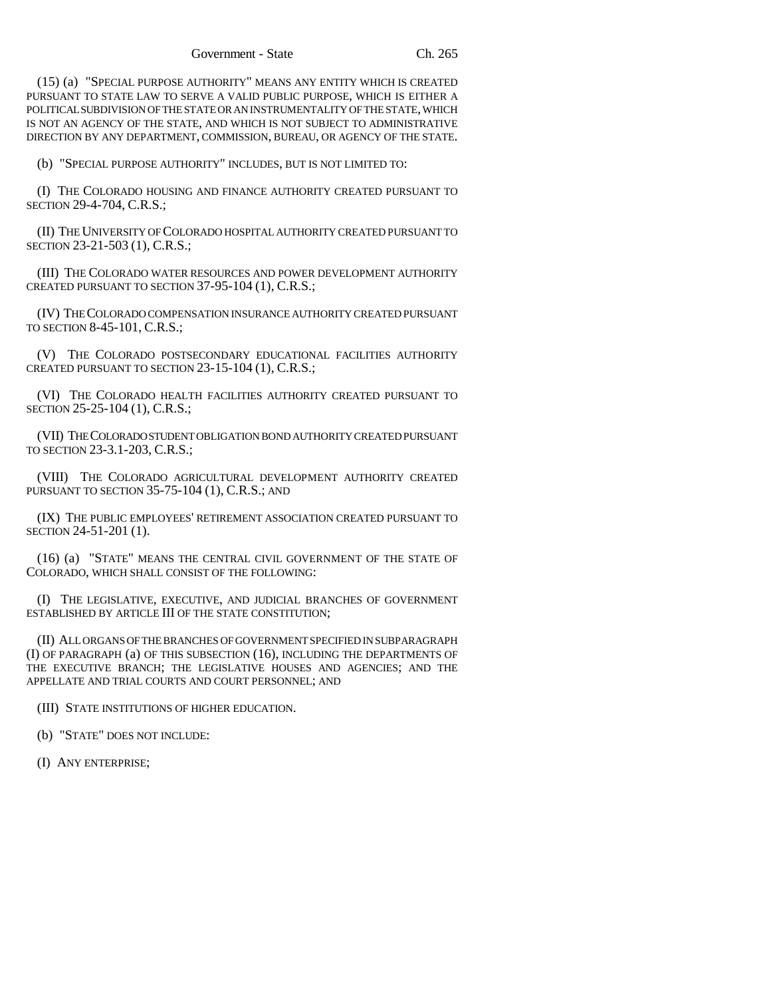(15) (a) "SPECIAL PURPOSE AUTHORITY" MEANS ANY ENTITY WHICH IS CREATED PURSUANT TO STATE LAW TO SERVE A VALID PUBLIC PURPOSE, WHICH IS EITHER A POLITICAL SUBDIVISION OF THE STATE OR AN INSTRUMENTALITY OF THE STATE, WHICH IS NOT AN AGENCY OF THE STATE, AND WHICH IS NOT SUBJECT TO ADMINISTRATIVE DIRECTION BY ANY DEPARTMENT, COMMISSION, BUREAU, OR AGENCY OF THE STATE.

(b) "SPECIAL PURPOSE AUTHORITY" INCLUDES, BUT IS NOT LIMITED TO:

(I) THE COLORADO HOUSING AND FINANCE AUTHORITY CREATED PURSUANT TO SECTION 29-4-704, C.R.S.;

(II) THE UNIVERSITY OF COLORADO HOSPITAL AUTHORITY CREATED PURSUANT TO SECTION 23-21-503 (1), C.R.S.;

(III) THE COLORADO WATER RESOURCES AND POWER DEVELOPMENT AUTHORITY CREATED PURSUANT TO SECTION 37-95-104 (1), C.R.S.;

(IV) THE COLORADO COMPENSATION INSURANCE AUTHORITY CREATED PURSUANT TO SECTION 8-45-101, C.R.S.;

(V) THE COLORADO POSTSECONDARY EDUCATIONAL FACILITIES AUTHORITY CREATED PURSUANT TO SECTION 23-15-104 (1), C.R.S.;

(VI) THE COLORADO HEALTH FACILITIES AUTHORITY CREATED PURSUANT TO SECTION 25-25-104 (1), C.R.S.;

(VII) THE COLORADO STUDENT OBLIGATION BOND AUTHORITY CREATED PURSUANT TO SECTION 23-3.1-203, C.R.S.;

(VIII) THE COLORADO AGRICULTURAL DEVELOPMENT AUTHORITY CREATED PURSUANT TO SECTION 35-75-104 (1), C.R.S.; AND

(IX) THE PUBLIC EMPLOYEES' RETIREMENT ASSOCIATION CREATED PURSUANT TO SECTION 24-51-201 (1).

(16) (a) "STATE" MEANS THE CENTRAL CIVIL GOVERNMENT OF THE STATE OF COLORADO, WHICH SHALL CONSIST OF THE FOLLOWING:

(I) THE LEGISLATIVE, EXECUTIVE, AND JUDICIAL BRANCHES OF GOVERNMENT ESTABLISHED BY ARTICLE III OF THE STATE CONSTITUTION;

(II) ALL ORGANS OF THE BRANCHES OF GOVERNMENT SPECIFIED IN SUBPARAGRAPH (I) OF PARAGRAPH (a) OF THIS SUBSECTION (16), INCLUDING THE DEPARTMENTS OF THE EXECUTIVE BRANCH; THE LEGISLATIVE HOUSES AND AGENCIES; AND THE APPELLATE AND TRIAL COURTS AND COURT PERSONNEL; AND

(III) STATE INSTITUTIONS OF HIGHER EDUCATION.

(b) "STATE" DOES NOT INCLUDE:

(I) ANY ENTERPRISE;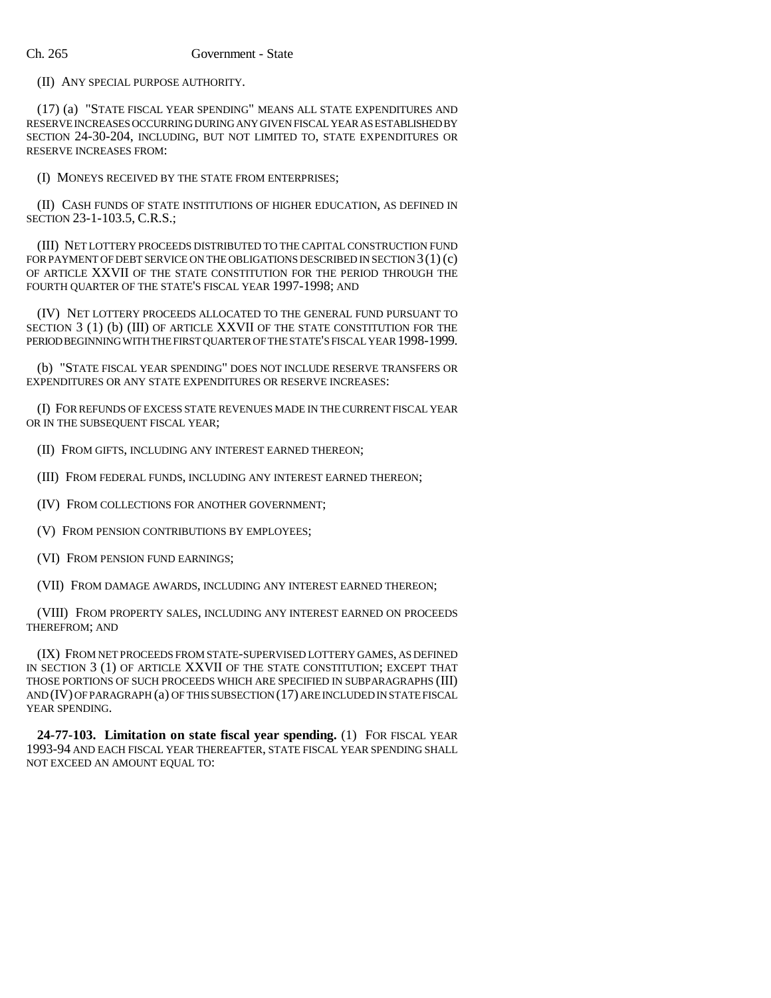(II) ANY SPECIAL PURPOSE AUTHORITY.

(17) (a) "STATE FISCAL YEAR SPENDING" MEANS ALL STATE EXPENDITURES AND RESERVE INCREASES OCCURRING DURING ANY GIVEN FISCAL YEAR AS ESTABLISHED BY SECTION 24-30-204, INCLUDING, BUT NOT LIMITED TO, STATE EXPENDITURES OR RESERVE INCREASES FROM:

(I) MONEYS RECEIVED BY THE STATE FROM ENTERPRISES;

(II) CASH FUNDS OF STATE INSTITUTIONS OF HIGHER EDUCATION, AS DEFINED IN SECTION 23-1-103.5, C.R.S.;

(III) NET LOTTERY PROCEEDS DISTRIBUTED TO THE CAPITAL CONSTRUCTION FUND FOR PAYMENT OF DEBT SERVICE ON THE OBLIGATIONS DESCRIBED IN SECTION  $3(1)(c)$ OF ARTICLE XXVII OF THE STATE CONSTITUTION FOR THE PERIOD THROUGH THE FOURTH QUARTER OF THE STATE'S FISCAL YEAR 1997-1998; AND

(IV) NET LOTTERY PROCEEDS ALLOCATED TO THE GENERAL FUND PURSUANT TO SECTION 3 (1) (b) (III) OF ARTICLE XXVII OF THE STATE CONSTITUTION FOR THE PERIOD BEGINNING WITH THE FIRST QUARTER OF THE STATE'S FISCAL YEAR 1998-1999.

(b) "STATE FISCAL YEAR SPENDING" DOES NOT INCLUDE RESERVE TRANSFERS OR EXPENDITURES OR ANY STATE EXPENDITURES OR RESERVE INCREASES:

(I) FOR REFUNDS OF EXCESS STATE REVENUES MADE IN THE CURRENT FISCAL YEAR OR IN THE SUBSEQUENT FISCAL YEAR;

(II) FROM GIFTS, INCLUDING ANY INTEREST EARNED THEREON;

(III) FROM FEDERAL FUNDS, INCLUDING ANY INTEREST EARNED THEREON;

(IV) FROM COLLECTIONS FOR ANOTHER GOVERNMENT;

(V) FROM PENSION CONTRIBUTIONS BY EMPLOYEES;

(VI) FROM PENSION FUND EARNINGS;

(VII) FROM DAMAGE AWARDS, INCLUDING ANY INTEREST EARNED THEREON;

(VIII) FROM PROPERTY SALES, INCLUDING ANY INTEREST EARNED ON PROCEEDS THEREFROM; AND

(IX) FROM NET PROCEEDS FROM STATE-SUPERVISED LOTTERY GAMES, AS DEFINED IN SECTION 3 (1) OF ARTICLE XXVII OF THE STATE CONSTITUTION; EXCEPT THAT THOSE PORTIONS OF SUCH PROCEEDS WHICH ARE SPECIFIED IN SUBPARAGRAPHS (III) AND (IV) OF PARAGRAPH (a) OF THIS SUBSECTION (17) ARE INCLUDED IN STATE FISCAL YEAR SPENDING.

**24-77-103. Limitation on state fiscal year spending.** (1) FOR FISCAL YEAR 1993-94 AND EACH FISCAL YEAR THEREAFTER, STATE FISCAL YEAR SPENDING SHALL NOT EXCEED AN AMOUNT EQUAL TO: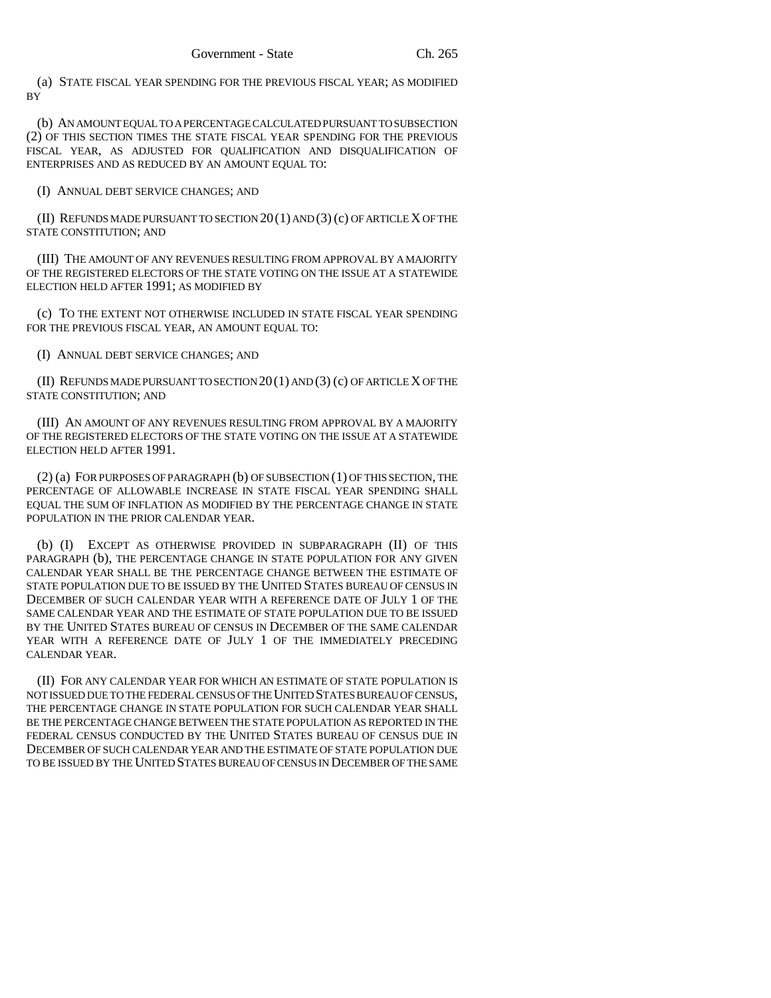(a) STATE FISCAL YEAR SPENDING FOR THE PREVIOUS FISCAL YEAR; AS MODIFIED BY

(b) AN AMOUNT EQUAL TO A PERCENTAGE CALCULATED PURSUANT TO SUBSECTION (2) OF THIS SECTION TIMES THE STATE FISCAL YEAR SPENDING FOR THE PREVIOUS FISCAL YEAR, AS ADJUSTED FOR QUALIFICATION AND DISQUALIFICATION OF ENTERPRISES AND AS REDUCED BY AN AMOUNT EQUAL TO:

(I) ANNUAL DEBT SERVICE CHANGES; AND

(II) REFUNDS MADE PURSUANT TO SECTION  $20(1)$  and  $(3)$  (c) OF ARTICLE X OF THE STATE CONSTITUTION; AND

(III) THE AMOUNT OF ANY REVENUES RESULTING FROM APPROVAL BY A MAJORITY OF THE REGISTERED ELECTORS OF THE STATE VOTING ON THE ISSUE AT A STATEWIDE ELECTION HELD AFTER 1991; AS MODIFIED BY

(c) TO THE EXTENT NOT OTHERWISE INCLUDED IN STATE FISCAL YEAR SPENDING FOR THE PREVIOUS FISCAL YEAR, AN AMOUNT EQUAL TO:

(I) ANNUAL DEBT SERVICE CHANGES; AND

(II) REFUNDS MADE PURSUANT TO SECTION 20(1) AND (3) (c) OF ARTICLE X OF THE STATE CONSTITUTION; AND

(III) AN AMOUNT OF ANY REVENUES RESULTING FROM APPROVAL BY A MAJORITY OF THE REGISTERED ELECTORS OF THE STATE VOTING ON THE ISSUE AT A STATEWIDE ELECTION HELD AFTER 1991.

(2) (a) FOR PURPOSES OF PARAGRAPH (b) OF SUBSECTION (1) OF THIS SECTION, THE PERCENTAGE OF ALLOWABLE INCREASE IN STATE FISCAL YEAR SPENDING SHALL EQUAL THE SUM OF INFLATION AS MODIFIED BY THE PERCENTAGE CHANGE IN STATE POPULATION IN THE PRIOR CALENDAR YEAR.

(b) (I) EXCEPT AS OTHERWISE PROVIDED IN SUBPARAGRAPH (II) OF THIS PARAGRAPH (b), THE PERCENTAGE CHANGE IN STATE POPULATION FOR ANY GIVEN CALENDAR YEAR SHALL BE THE PERCENTAGE CHANGE BETWEEN THE ESTIMATE OF STATE POPULATION DUE TO BE ISSUED BY THE UNITED STATES BUREAU OF CENSUS IN DECEMBER OF SUCH CALENDAR YEAR WITH A REFERENCE DATE OF JULY 1 OF THE SAME CALENDAR YEAR AND THE ESTIMATE OF STATE POPULATION DUE TO BE ISSUED BY THE UNITED STATES BUREAU OF CENSUS IN DECEMBER OF THE SAME CALENDAR YEAR WITH A REFERENCE DATE OF JULY 1 OF THE IMMEDIATELY PRECEDING CALENDAR YEAR.

(II) FOR ANY CALENDAR YEAR FOR WHICH AN ESTIMATE OF STATE POPULATION IS NOT ISSUED DUE TO THE FEDERAL CENSUS OF THE UNITED STATES BUREAU OF CENSUS, THE PERCENTAGE CHANGE IN STATE POPULATION FOR SUCH CALENDAR YEAR SHALL BE THE PERCENTAGE CHANGE BETWEEN THE STATE POPULATION AS REPORTED IN THE FEDERAL CENSUS CONDUCTED BY THE UNITED STATES BUREAU OF CENSUS DUE IN DECEMBER OF SUCH CALENDAR YEAR AND THE ESTIMATE OF STATE POPULATION DUE TO BE ISSUED BY THE UNITED STATES BUREAU OF CENSUS IN DECEMBER OF THE SAME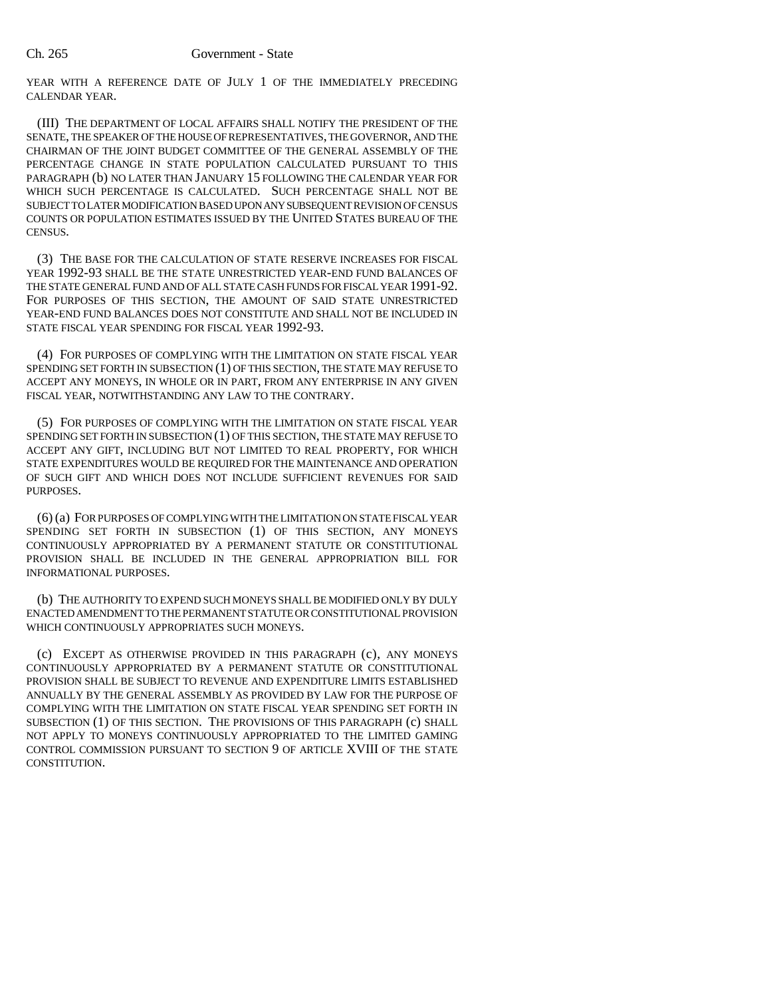YEAR WITH A REFERENCE DATE OF JULY 1 OF THE IMMEDIATELY PRECEDING CALENDAR YEAR.

(III) THE DEPARTMENT OF LOCAL AFFAIRS SHALL NOTIFY THE PRESIDENT OF THE SENATE, THE SPEAKER OF THE HOUSE OF REPRESENTATIVES, THE GOVERNOR, AND THE CHAIRMAN OF THE JOINT BUDGET COMMITTEE OF THE GENERAL ASSEMBLY OF THE PERCENTAGE CHANGE IN STATE POPULATION CALCULATED PURSUANT TO THIS PARAGRAPH (b) NO LATER THAN JANUARY 15 FOLLOWING THE CALENDAR YEAR FOR WHICH SUCH PERCENTAGE IS CALCULATED. SUCH PERCENTAGE SHALL NOT BE SUBJECT TO LATER MODIFICATION BASED UPON ANY SUBSEQUENT REVISION OF CENSUS COUNTS OR POPULATION ESTIMATES ISSUED BY THE UNITED STATES BUREAU OF THE CENSUS.

(3) THE BASE FOR THE CALCULATION OF STATE RESERVE INCREASES FOR FISCAL YEAR 1992-93 SHALL BE THE STATE UNRESTRICTED YEAR-END FUND BALANCES OF THE STATE GENERAL FUND AND OF ALL STATE CASH FUNDS FOR FISCAL YEAR 1991-92. FOR PURPOSES OF THIS SECTION, THE AMOUNT OF SAID STATE UNRESTRICTED YEAR-END FUND BALANCES DOES NOT CONSTITUTE AND SHALL NOT BE INCLUDED IN STATE FISCAL YEAR SPENDING FOR FISCAL YEAR 1992-93.

(4) FOR PURPOSES OF COMPLYING WITH THE LIMITATION ON STATE FISCAL YEAR SPENDING SET FORTH IN SUBSECTION (1) OF THIS SECTION, THE STATE MAY REFUSE TO ACCEPT ANY MONEYS, IN WHOLE OR IN PART, FROM ANY ENTERPRISE IN ANY GIVEN FISCAL YEAR, NOTWITHSTANDING ANY LAW TO THE CONTRARY.

(5) FOR PURPOSES OF COMPLYING WITH THE LIMITATION ON STATE FISCAL YEAR SPENDING SET FORTH IN SUBSECTION (1) OF THIS SECTION, THE STATE MAY REFUSE TO ACCEPT ANY GIFT, INCLUDING BUT NOT LIMITED TO REAL PROPERTY, FOR WHICH STATE EXPENDITURES WOULD BE REQUIRED FOR THE MAINTENANCE AND OPERATION OF SUCH GIFT AND WHICH DOES NOT INCLUDE SUFFICIENT REVENUES FOR SAID PURPOSES.

(6) (a) FOR PURPOSES OF COMPLYING WITH THE LIMITATION ON STATE FISCAL YEAR SPENDING SET FORTH IN SUBSECTION (1) OF THIS SECTION, ANY MONEYS CONTINUOUSLY APPROPRIATED BY A PERMANENT STATUTE OR CONSTITUTIONAL PROVISION SHALL BE INCLUDED IN THE GENERAL APPROPRIATION BILL FOR INFORMATIONAL PURPOSES.

(b) THE AUTHORITY TO EXPEND SUCH MONEYS SHALL BE MODIFIED ONLY BY DULY ENACTED AMENDMENT TO THE PERMANENT STATUTE OR CONSTITUTIONAL PROVISION WHICH CONTINUOUSLY APPROPRIATES SUCH MONEYS.

(c) EXCEPT AS OTHERWISE PROVIDED IN THIS PARAGRAPH (c), ANY MONEYS CONTINUOUSLY APPROPRIATED BY A PERMANENT STATUTE OR CONSTITUTIONAL PROVISION SHALL BE SUBJECT TO REVENUE AND EXPENDITURE LIMITS ESTABLISHED ANNUALLY BY THE GENERAL ASSEMBLY AS PROVIDED BY LAW FOR THE PURPOSE OF COMPLYING WITH THE LIMITATION ON STATE FISCAL YEAR SPENDING SET FORTH IN SUBSECTION (1) OF THIS SECTION. THE PROVISIONS OF THIS PARAGRAPH (c) SHALL NOT APPLY TO MONEYS CONTINUOUSLY APPROPRIATED TO THE LIMITED GAMING CONTROL COMMISSION PURSUANT TO SECTION 9 OF ARTICLE XVIII OF THE STATE CONSTITUTION.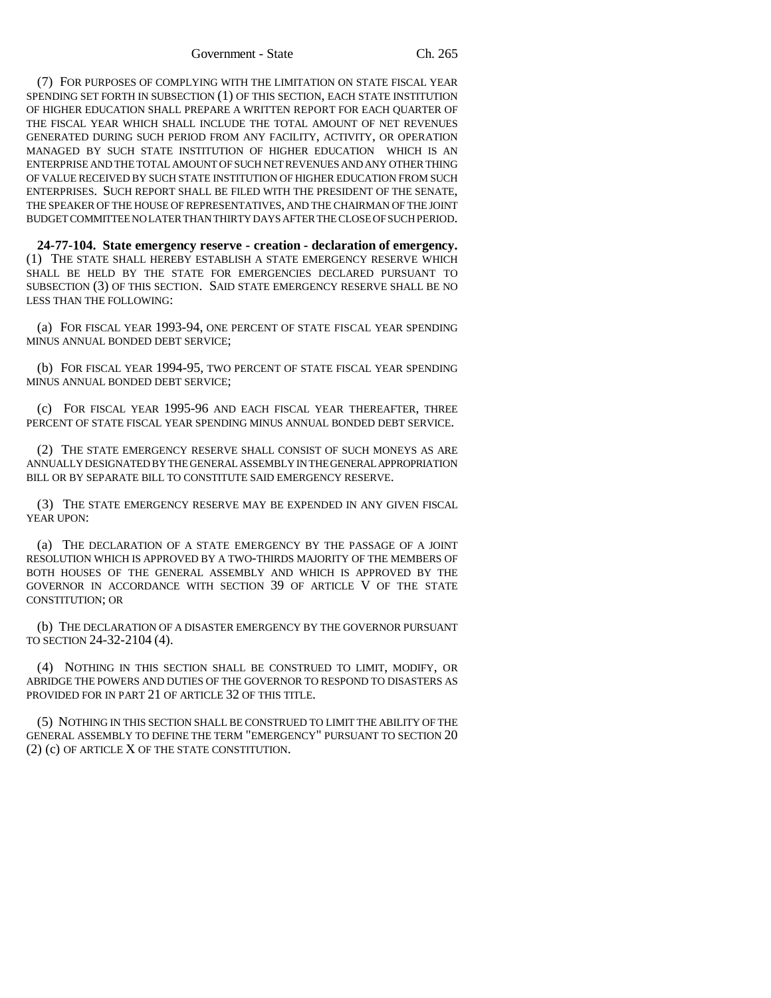(7) FOR PURPOSES OF COMPLYING WITH THE LIMITATION ON STATE FISCAL YEAR SPENDING SET FORTH IN SUBSECTION (1) OF THIS SECTION, EACH STATE INSTITUTION OF HIGHER EDUCATION SHALL PREPARE A WRITTEN REPORT FOR EACH QUARTER OF THE FISCAL YEAR WHICH SHALL INCLUDE THE TOTAL AMOUNT OF NET REVENUES GENERATED DURING SUCH PERIOD FROM ANY FACILITY, ACTIVITY, OR OPERATION MANAGED BY SUCH STATE INSTITUTION OF HIGHER EDUCATION WHICH IS AN ENTERPRISE AND THE TOTAL AMOUNT OF SUCH NET REVENUES AND ANY OTHER THING OF VALUE RECEIVED BY SUCH STATE INSTITUTION OF HIGHER EDUCATION FROM SUCH ENTERPRISES. SUCH REPORT SHALL BE FILED WITH THE PRESIDENT OF THE SENATE, THE SPEAKER OF THE HOUSE OF REPRESENTATIVES, AND THE CHAIRMAN OF THE JOINT BUDGET COMMITTEE NO LATER THAN THIRTY DAYS AFTER THE CLOSE OF SUCH PERIOD.

**24-77-104. State emergency reserve - creation - declaration of emergency.** (1) THE STATE SHALL HEREBY ESTABLISH A STATE EMERGENCY RESERVE WHICH SHALL BE HELD BY THE STATE FOR EMERGENCIES DECLARED PURSUANT TO SUBSECTION (3) OF THIS SECTION. SAID STATE EMERGENCY RESERVE SHALL BE NO LESS THAN THE FOLLOWING:

(a) FOR FISCAL YEAR 1993-94, ONE PERCENT OF STATE FISCAL YEAR SPENDING MINUS ANNUAL BONDED DEBT SERVICE;

(b) FOR FISCAL YEAR 1994-95, TWO PERCENT OF STATE FISCAL YEAR SPENDING MINUS ANNUAL BONDED DEBT SERVICE;

(c) FOR FISCAL YEAR 1995-96 AND EACH FISCAL YEAR THEREAFTER, THREE PERCENT OF STATE FISCAL YEAR SPENDING MINUS ANNUAL BONDED DEBT SERVICE.

(2) THE STATE EMERGENCY RESERVE SHALL CONSIST OF SUCH MONEYS AS ARE ANNUALLY DESIGNATED BY THE GENERAL ASSEMBLY IN THE GENERAL APPROPRIATION BILL OR BY SEPARATE BILL TO CONSTITUTE SAID EMERGENCY RESERVE.

(3) THE STATE EMERGENCY RESERVE MAY BE EXPENDED IN ANY GIVEN FISCAL YEAR UPON:

(a) THE DECLARATION OF A STATE EMERGENCY BY THE PASSAGE OF A JOINT RESOLUTION WHICH IS APPROVED BY A TWO-THIRDS MAJORITY OF THE MEMBERS OF BOTH HOUSES OF THE GENERAL ASSEMBLY AND WHICH IS APPROVED BY THE GOVERNOR IN ACCORDANCE WITH SECTION 39 OF ARTICLE V OF THE STATE CONSTITUTION; OR

(b) THE DECLARATION OF A DISASTER EMERGENCY BY THE GOVERNOR PURSUANT TO SECTION 24-32-2104 (4).

(4) NOTHING IN THIS SECTION SHALL BE CONSTRUED TO LIMIT, MODIFY, OR ABRIDGE THE POWERS AND DUTIES OF THE GOVERNOR TO RESPOND TO DISASTERS AS PROVIDED FOR IN PART 21 OF ARTICLE 32 OF THIS TITLE.

(5) NOTHING IN THIS SECTION SHALL BE CONSTRUED TO LIMIT THE ABILITY OF THE GENERAL ASSEMBLY TO DEFINE THE TERM "EMERGENCY" PURSUANT TO SECTION 20 (2) (c) OF ARTICLE X OF THE STATE CONSTITUTION.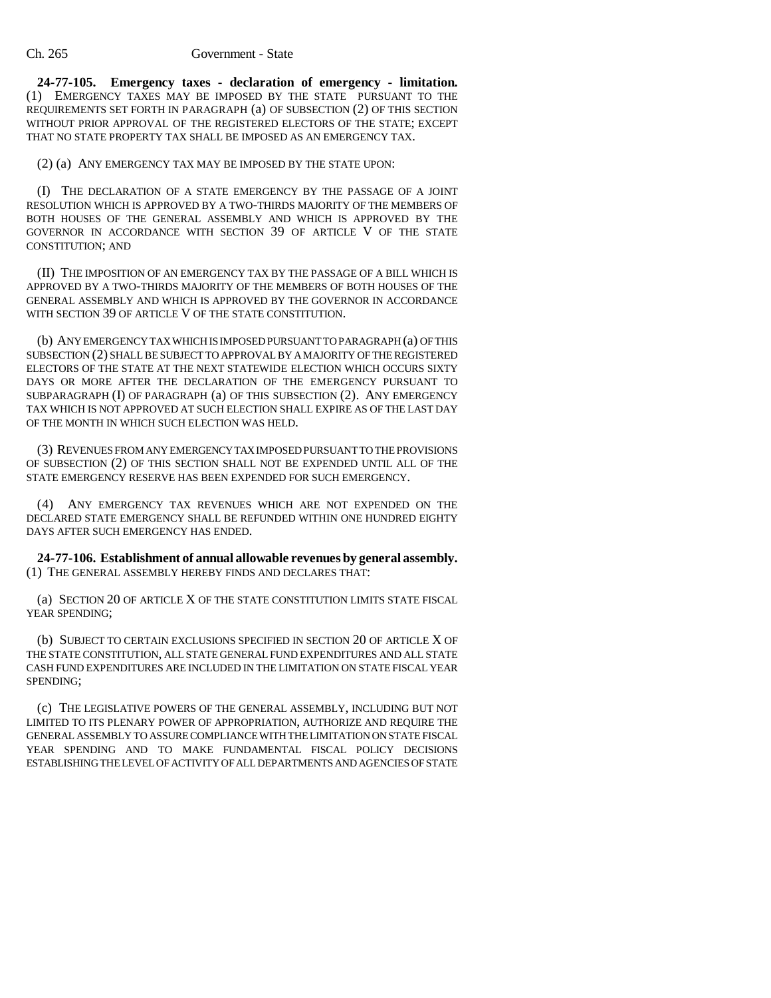**24-77-105. Emergency taxes - declaration of emergency - limitation.** (1) EMERGENCY TAXES MAY BE IMPOSED BY THE STATE PURSUANT TO THE REQUIREMENTS SET FORTH IN PARAGRAPH (a) OF SUBSECTION (2) OF THIS SECTION WITHOUT PRIOR APPROVAL OF THE REGISTERED ELECTORS OF THE STATE; EXCEPT THAT NO STATE PROPERTY TAX SHALL BE IMPOSED AS AN EMERGENCY TAX.

(2) (a) ANY EMERGENCY TAX MAY BE IMPOSED BY THE STATE UPON:

(I) THE DECLARATION OF A STATE EMERGENCY BY THE PASSAGE OF A JOINT RESOLUTION WHICH IS APPROVED BY A TWO-THIRDS MAJORITY OF THE MEMBERS OF BOTH HOUSES OF THE GENERAL ASSEMBLY AND WHICH IS APPROVED BY THE GOVERNOR IN ACCORDANCE WITH SECTION 39 OF ARTICLE V OF THE STATE CONSTITUTION; AND

(II) THE IMPOSITION OF AN EMERGENCY TAX BY THE PASSAGE OF A BILL WHICH IS APPROVED BY A TWO-THIRDS MAJORITY OF THE MEMBERS OF BOTH HOUSES OF THE GENERAL ASSEMBLY AND WHICH IS APPROVED BY THE GOVERNOR IN ACCORDANCE WITH SECTION 39 OF ARTICLE V OF THE STATE CONSTITUTION.

(b) ANY EMERGENCY TAX WHICH IS IMPOSED PURSUANT TO PARAGRAPH (a) OF THIS SUBSECTION (2) SHALL BE SUBJECT TO APPROVAL BY A MAJORITY OF THE REGISTERED ELECTORS OF THE STATE AT THE NEXT STATEWIDE ELECTION WHICH OCCURS SIXTY DAYS OR MORE AFTER THE DECLARATION OF THE EMERGENCY PURSUANT TO SUBPARAGRAPH (I) OF PARAGRAPH (a) OF THIS SUBSECTION (2). ANY EMERGENCY TAX WHICH IS NOT APPROVED AT SUCH ELECTION SHALL EXPIRE AS OF THE LAST DAY OF THE MONTH IN WHICH SUCH ELECTION WAS HELD.

(3) REVENUES FROM ANY EMERGENCY TAX IMPOSED PURSUANT TO THE PROVISIONS OF SUBSECTION (2) OF THIS SECTION SHALL NOT BE EXPENDED UNTIL ALL OF THE STATE EMERGENCY RESERVE HAS BEEN EXPENDED FOR SUCH EMERGENCY.

(4) ANY EMERGENCY TAX REVENUES WHICH ARE NOT EXPENDED ON THE DECLARED STATE EMERGENCY SHALL BE REFUNDED WITHIN ONE HUNDRED EIGHTY DAYS AFTER SUCH EMERGENCY HAS ENDED.

**24-77-106. Establishment of annual allowable revenues by general assembly.** (1) THE GENERAL ASSEMBLY HEREBY FINDS AND DECLARES THAT:

(a) SECTION 20 OF ARTICLE X OF THE STATE CONSTITUTION LIMITS STATE FISCAL YEAR SPENDING:

(b) SUBJECT TO CERTAIN EXCLUSIONS SPECIFIED IN SECTION 20 OF ARTICLE X OF THE STATE CONSTITUTION, ALL STATE GENERAL FUND EXPENDITURES AND ALL STATE CASH FUND EXPENDITURES ARE INCLUDED IN THE LIMITATION ON STATE FISCAL YEAR SPENDING;

(c) THE LEGISLATIVE POWERS OF THE GENERAL ASSEMBLY, INCLUDING BUT NOT LIMITED TO ITS PLENARY POWER OF APPROPRIATION, AUTHORIZE AND REQUIRE THE GENERAL ASSEMBLY TO ASSURE COMPLIANCE WITH THE LIMITATION ON STATE FISCAL YEAR SPENDING AND TO MAKE FUNDAMENTAL FISCAL POLICY DECISIONS ESTABLISHING THE LEVEL OF ACTIVITY OF ALL DEPARTMENTS AND AGENCIES OF STATE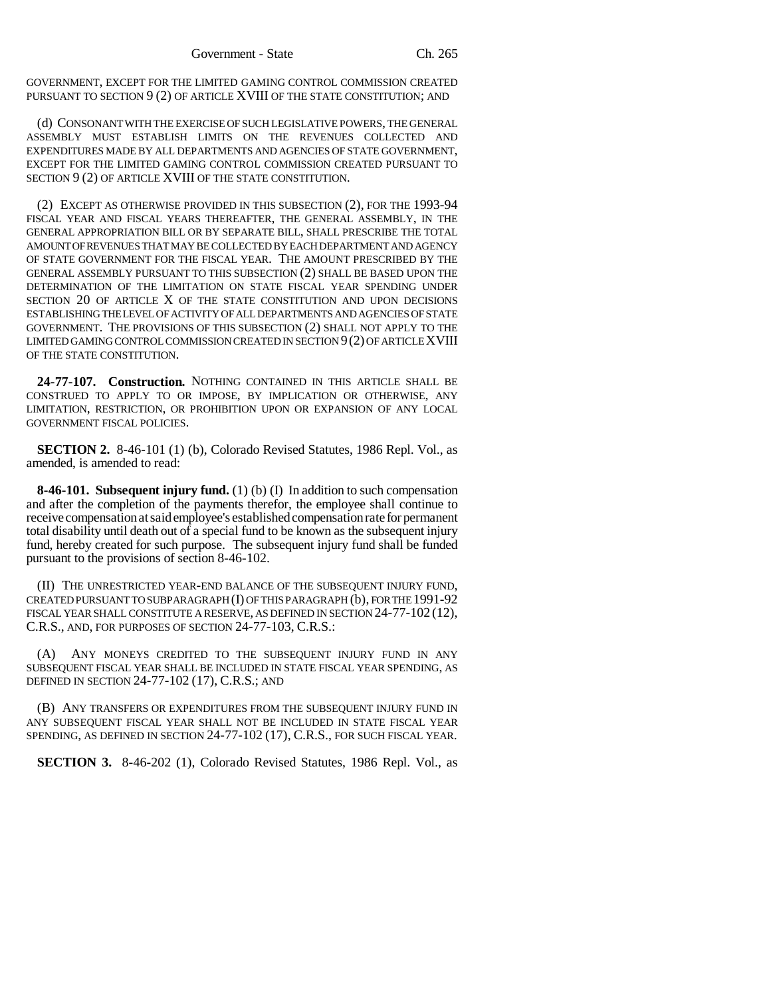GOVERNMENT, EXCEPT FOR THE LIMITED GAMING CONTROL COMMISSION CREATED PURSUANT TO SECTION 9 (2) OF ARTICLE XVIII OF THE STATE CONSTITUTION; AND

(d) CONSONANT WITH THE EXERCISE OF SUCH LEGISLATIVE POWERS, THE GENERAL ASSEMBLY MUST ESTABLISH LIMITS ON THE REVENUES COLLECTED AND EXPENDITURES MADE BY ALL DEPARTMENTS AND AGENCIES OF STATE GOVERNMENT, EXCEPT FOR THE LIMITED GAMING CONTROL COMMISSION CREATED PURSUANT TO SECTION 9 (2) OF ARTICLE XVIII OF THE STATE CONSTITUTION.

(2) EXCEPT AS OTHERWISE PROVIDED IN THIS SUBSECTION (2), FOR THE 1993-94 FISCAL YEAR AND FISCAL YEARS THEREAFTER, THE GENERAL ASSEMBLY, IN THE GENERAL APPROPRIATION BILL OR BY SEPARATE BILL, SHALL PRESCRIBE THE TOTAL AMOUNT OF REVENUES THAT MAY BE COLLECTED BY EACH DEPARTMENT AND AGENCY OF STATE GOVERNMENT FOR THE FISCAL YEAR. THE AMOUNT PRESCRIBED BY THE GENERAL ASSEMBLY PURSUANT TO THIS SUBSECTION (2) SHALL BE BASED UPON THE DETERMINATION OF THE LIMITATION ON STATE FISCAL YEAR SPENDING UNDER SECTION 20 OF ARTICLE X OF THE STATE CONSTITUTION AND UPON DECISIONS ESTABLISHING THE LEVEL OF ACTIVITY OF ALL DEPARTMENTS AND AGENCIES OF STATE GOVERNMENT. THE PROVISIONS OF THIS SUBSECTION (2) SHALL NOT APPLY TO THE LIMITED GAMING CONTROL COMMISSION CREATED IN SECTION 9(2) OF ARTICLE XVIII OF THE STATE CONSTITUTION.

**24-77-107. Construction.** NOTHING CONTAINED IN THIS ARTICLE SHALL BE CONSTRUED TO APPLY TO OR IMPOSE, BY IMPLICATION OR OTHERWISE, ANY LIMITATION, RESTRICTION, OR PROHIBITION UPON OR EXPANSION OF ANY LOCAL GOVERNMENT FISCAL POLICIES.

**SECTION 2.** 8-46-101 (1) (b), Colorado Revised Statutes, 1986 Repl. Vol., as amended, is amended to read:

**8-46-101. Subsequent injury fund.** (1) (b) (I) In addition to such compensation and after the completion of the payments therefor, the employee shall continue to receive compensation at said employee's established compensation rate for permanent total disability until death out of a special fund to be known as the subsequent injury fund, hereby created for such purpose. The subsequent injury fund shall be funded pursuant to the provisions of section 8-46-102.

(II) THE UNRESTRICTED YEAR-END BALANCE OF THE SUBSEQUENT INJURY FUND, CREATED PURSUANT TO SUBPARAGRAPH (I) OF THIS PARAGRAPH (b), FOR THE 1991-92 FISCAL YEAR SHALL CONSTITUTE A RESERVE, AS DEFINED IN SECTION 24-77-102 (12), C.R.S., AND, FOR PURPOSES OF SECTION 24-77-103, C.R.S.:

(A) ANY MONEYS CREDITED TO THE SUBSEQUENT INJURY FUND IN ANY SUBSEQUENT FISCAL YEAR SHALL BE INCLUDED IN STATE FISCAL YEAR SPENDING, AS DEFINED IN SECTION 24-77-102 (17), C.R.S.; AND

(B) ANY TRANSFERS OR EXPENDITURES FROM THE SUBSEQUENT INJURY FUND IN ANY SUBSEQUENT FISCAL YEAR SHALL NOT BE INCLUDED IN STATE FISCAL YEAR SPENDING, AS DEFINED IN SECTION 24-77-102 (17), C.R.S., FOR SUCH FISCAL YEAR.

**SECTION 3.** 8-46-202 (1), Colorado Revised Statutes, 1986 Repl. Vol., as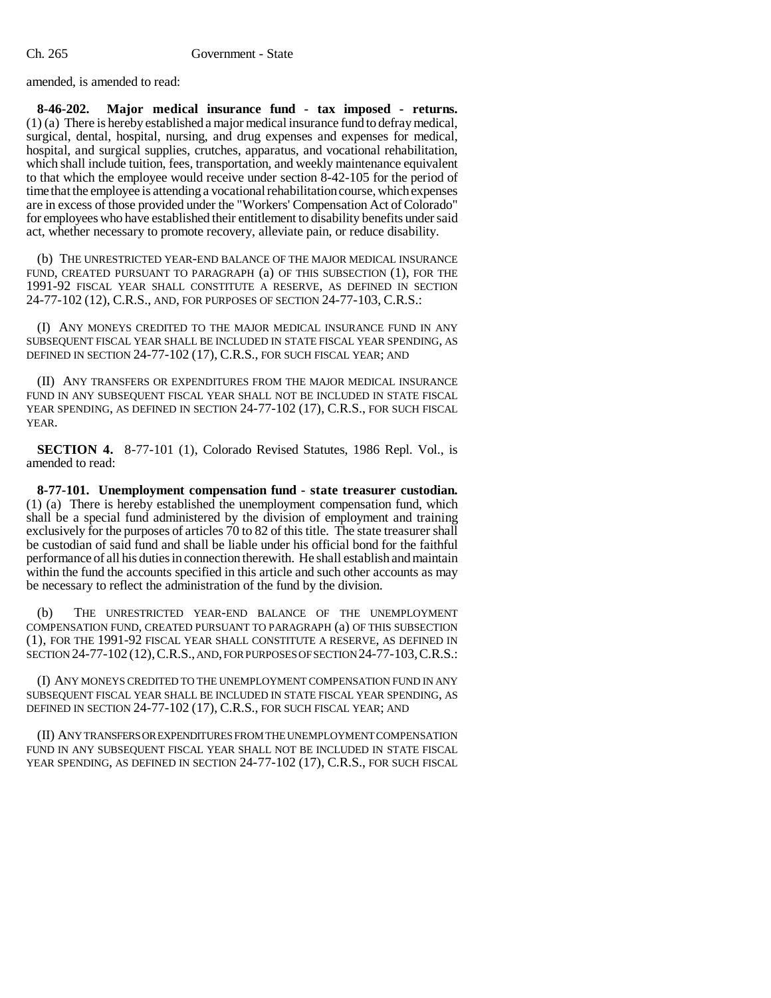amended, is amended to read:

**8-46-202. Major medical insurance fund - tax imposed - returns.** (1) (a) There is hereby established a major medical insurance fund to defray medical, surgical, dental, hospital, nursing, and drug expenses and expenses for medical, hospital, and surgical supplies, crutches, apparatus, and vocational rehabilitation, which shall include tuition, fees, transportation, and weekly maintenance equivalent to that which the employee would receive under section 8-42-105 for the period of time that the employee is attending a vocational rehabilitation course, which expenses are in excess of those provided under the "Workers' Compensation Act of Colorado" for employees who have established their entitlement to disability benefits under said act, whether necessary to promote recovery, alleviate pain, or reduce disability.

(b) THE UNRESTRICTED YEAR-END BALANCE OF THE MAJOR MEDICAL INSURANCE FUND, CREATED PURSUANT TO PARAGRAPH (a) OF THIS SUBSECTION (1), FOR THE 1991-92 FISCAL YEAR SHALL CONSTITUTE A RESERVE, AS DEFINED IN SECTION 24-77-102 (12), C.R.S., AND, FOR PURPOSES OF SECTION 24-77-103, C.R.S.:

(I) ANY MONEYS CREDITED TO THE MAJOR MEDICAL INSURANCE FUND IN ANY SUBSEQUENT FISCAL YEAR SHALL BE INCLUDED IN STATE FISCAL YEAR SPENDING, AS DEFINED IN SECTION 24-77-102 (17), C.R.S., FOR SUCH FISCAL YEAR; AND

(II) ANY TRANSFERS OR EXPENDITURES FROM THE MAJOR MEDICAL INSURANCE FUND IN ANY SUBSEQUENT FISCAL YEAR SHALL NOT BE INCLUDED IN STATE FISCAL YEAR SPENDING, AS DEFINED IN SECTION 24-77-102 (17), C.R.S., FOR SUCH FISCAL YEAR.

**SECTION 4.** 8-77-101 (1), Colorado Revised Statutes, 1986 Repl. Vol., is amended to read:

**8-77-101. Unemployment compensation fund - state treasurer custodian.** (1) (a) There is hereby established the unemployment compensation fund, which shall be a special fund administered by the division of employment and training exclusively for the purposes of articles 70 to 82 of this title. The state treasurer shall be custodian of said fund and shall be liable under his official bond for the faithful performance of all his duties in connection therewith. He shall establish and maintain within the fund the accounts specified in this article and such other accounts as may be necessary to reflect the administration of the fund by the division.

(b) THE UNRESTRICTED YEAR-END BALANCE OF THE UNEMPLOYMENT COMPENSATION FUND, CREATED PURSUANT TO PARAGRAPH (a) OF THIS SUBSECTION (1), FOR THE 1991-92 FISCAL YEAR SHALL CONSTITUTE A RESERVE, AS DEFINED IN SECTION 24-77-102 (12),C.R.S., AND, FOR PURPOSES OF SECTION 24-77-103,C.R.S.:

(I) ANY MONEYS CREDITED TO THE UNEMPLOYMENT COMPENSATION FUND IN ANY SUBSEQUENT FISCAL YEAR SHALL BE INCLUDED IN STATE FISCAL YEAR SPENDING, AS DEFINED IN SECTION 24-77-102 (17), C.R.S., FOR SUCH FISCAL YEAR; AND

(II) ANY TRANSFERS OR EXPENDITURES FROM THE UNEMPLOYMENT COMPENSATION FUND IN ANY SUBSEQUENT FISCAL YEAR SHALL NOT BE INCLUDED IN STATE FISCAL YEAR SPENDING, AS DEFINED IN SECTION 24-77-102 (17), C.R.S., FOR SUCH FISCAL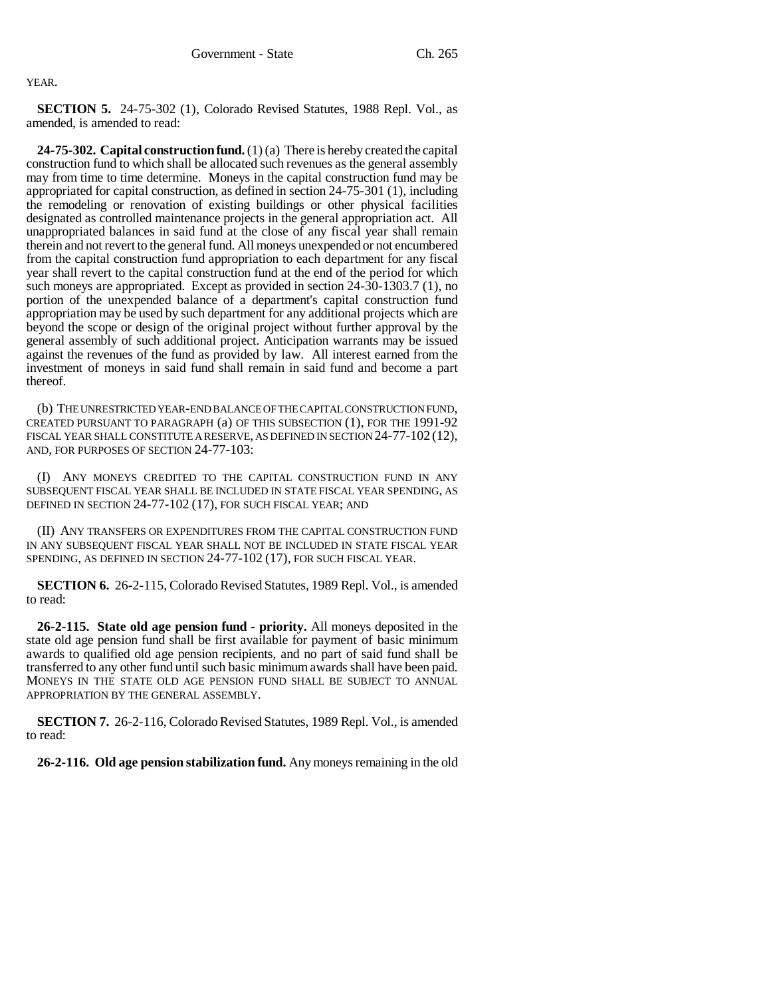YEAR.

**SECTION 5.** 24-75-302 (1), Colorado Revised Statutes, 1988 Repl. Vol., as amended, is amended to read:

**24-75-302. Capital construction fund.** (1) (a) There is hereby created the capital construction fund to which shall be allocated such revenues as the general assembly may from time to time determine. Moneys in the capital construction fund may be appropriated for capital construction, as defined in section 24-75-301 (1), including the remodeling or renovation of existing buildings or other physical facilities designated as controlled maintenance projects in the general appropriation act. All unappropriated balances in said fund at the close of any fiscal year shall remain therein and not revert to the general fund. All moneys unexpended or not encumbered from the capital construction fund appropriation to each department for any fiscal year shall revert to the capital construction fund at the end of the period for which such moneys are appropriated. Except as provided in section 24-30-1303.7 (1), no portion of the unexpended balance of a department's capital construction fund appropriation may be used by such department for any additional projects which are beyond the scope or design of the original project without further approval by the general assembly of such additional project. Anticipation warrants may be issued against the revenues of the fund as provided by law. All interest earned from the investment of moneys in said fund shall remain in said fund and become a part thereof.

(b) THE UNRESTRICTED YEAR-END BALANCE OF THE CAPITAL CONSTRUCTION FUND, CREATED PURSUANT TO PARAGRAPH (a) OF THIS SUBSECTION (1), FOR THE 1991-92 FISCAL YEAR SHALL CONSTITUTE A RESERVE, AS DEFINED IN SECTION 24-77-102 (12), AND, FOR PURPOSES OF SECTION 24-77-103:

(I) ANY MONEYS CREDITED TO THE CAPITAL CONSTRUCTION FUND IN ANY SUBSEQUENT FISCAL YEAR SHALL BE INCLUDED IN STATE FISCAL YEAR SPENDING, AS DEFINED IN SECTION 24-77-102 (17), FOR SUCH FISCAL YEAR; AND

(II) ANY TRANSFERS OR EXPENDITURES FROM THE CAPITAL CONSTRUCTION FUND IN ANY SUBSEQUENT FISCAL YEAR SHALL NOT BE INCLUDED IN STATE FISCAL YEAR SPENDING, AS DEFINED IN SECTION 24-77-102 (17), FOR SUCH FISCAL YEAR.

**SECTION 6.** 26-2-115, Colorado Revised Statutes, 1989 Repl. Vol., is amended to read:

**26-2-115. State old age pension fund - priority.** All moneys deposited in the state old age pension fund shall be first available for payment of basic minimum awards to qualified old age pension recipients, and no part of said fund shall be transferred to any other fund until such basic minimum awards shall have been paid. MONEYS IN THE STATE OLD AGE PENSION FUND SHALL BE SUBJECT TO ANNUAL APPROPRIATION BY THE GENERAL ASSEMBLY.

**SECTION 7.** 26-2-116, Colorado Revised Statutes, 1989 Repl. Vol., is amended to read:

**26-2-116. Old age pension stabilization fund.** Any moneys remaining in the old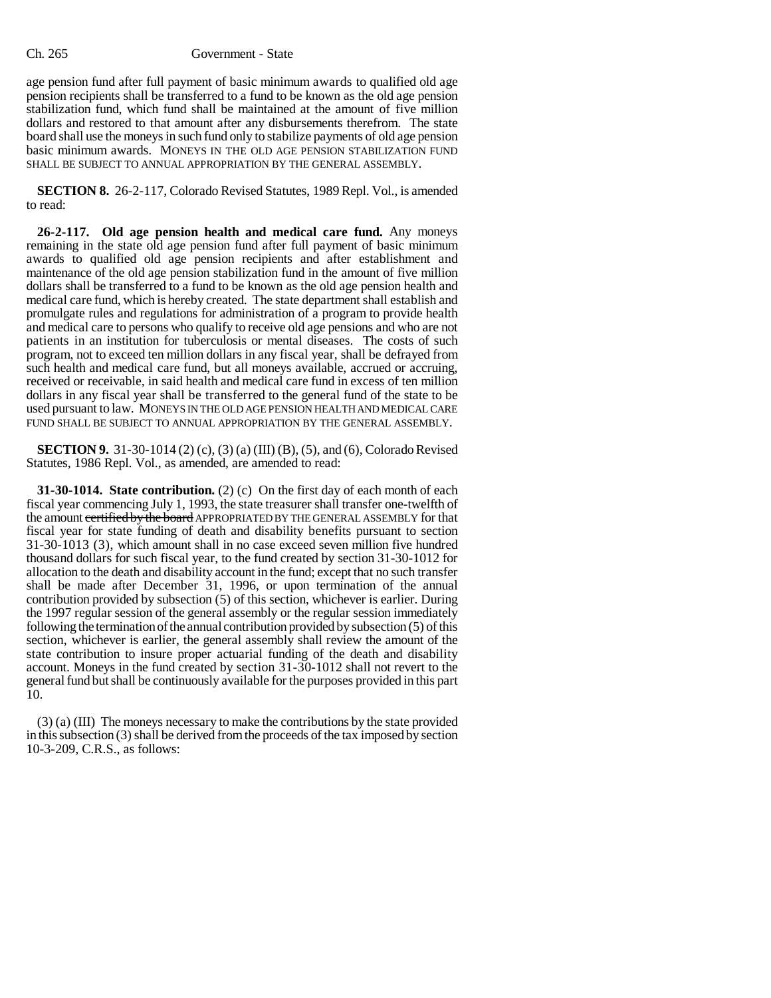age pension fund after full payment of basic minimum awards to qualified old age pension recipients shall be transferred to a fund to be known as the old age pension stabilization fund, which fund shall be maintained at the amount of five million dollars and restored to that amount after any disbursements therefrom. The state board shall use the moneys in such fund only to stabilize payments of old age pension basic minimum awards. MONEYS IN THE OLD AGE PENSION STABILIZATION FUND SHALL BE SUBJECT TO ANNUAL APPROPRIATION BY THE GENERAL ASSEMBLY.

**SECTION 8.** 26-2-117, Colorado Revised Statutes, 1989 Repl. Vol., is amended to read:

**26-2-117. Old age pension health and medical care fund.** Any moneys remaining in the state old age pension fund after full payment of basic minimum awards to qualified old age pension recipients and after establishment and maintenance of the old age pension stabilization fund in the amount of five million dollars shall be transferred to a fund to be known as the old age pension health and medical care fund, which is hereby created. The state department shall establish and promulgate rules and regulations for administration of a program to provide health and medical care to persons who qualify to receive old age pensions and who are not patients in an institution for tuberculosis or mental diseases. The costs of such program, not to exceed ten million dollars in any fiscal year, shall be defrayed from such health and medical care fund, but all moneys available, accrued or accruing, received or receivable, in said health and medical care fund in excess of ten million dollars in any fiscal year shall be transferred to the general fund of the state to be used pursuant to law. MONEYS IN THE OLD AGE PENSION HEALTH AND MEDICAL CARE FUND SHALL BE SUBJECT TO ANNUAL APPROPRIATION BY THE GENERAL ASSEMBLY.

**SECTION 9.** 31-30-1014 (2) (c), (3) (a) (III) (B), (5), and (6), Colorado Revised Statutes, 1986 Repl. Vol., as amended, are amended to read:

**31-30-1014. State contribution.** (2) (c) On the first day of each month of each fiscal year commencing July 1, 1993, the state treasurer shall transfer one-twelfth of the amount certified by the board APPROPRIATED BY THE GENERAL ASSEMBLY for that fiscal year for state funding of death and disability benefits pursuant to section 31-30-1013 (3), which amount shall in no case exceed seven million five hundred thousand dollars for such fiscal year, to the fund created by section 31-30-1012 for allocation to the death and disability account in the fund; except that no such transfer shall be made after December 31, 1996, or upon termination of the annual contribution provided by subsection (5) of this section, whichever is earlier. During the 1997 regular session of the general assembly or the regular session immediately following the termination of the annual contribution provided by subsection (5) of this section, whichever is earlier, the general assembly shall review the amount of the state contribution to insure proper actuarial funding of the death and disability account. Moneys in the fund created by section 31-30-1012 shall not revert to the general fund but shall be continuously available for the purposes provided in this part 10.

(3) (a) (III) The moneys necessary to make the contributions by the state provided in this subsection (3) shall be derived from the proceeds of the tax imposed by section 10-3-209, C.R.S., as follows: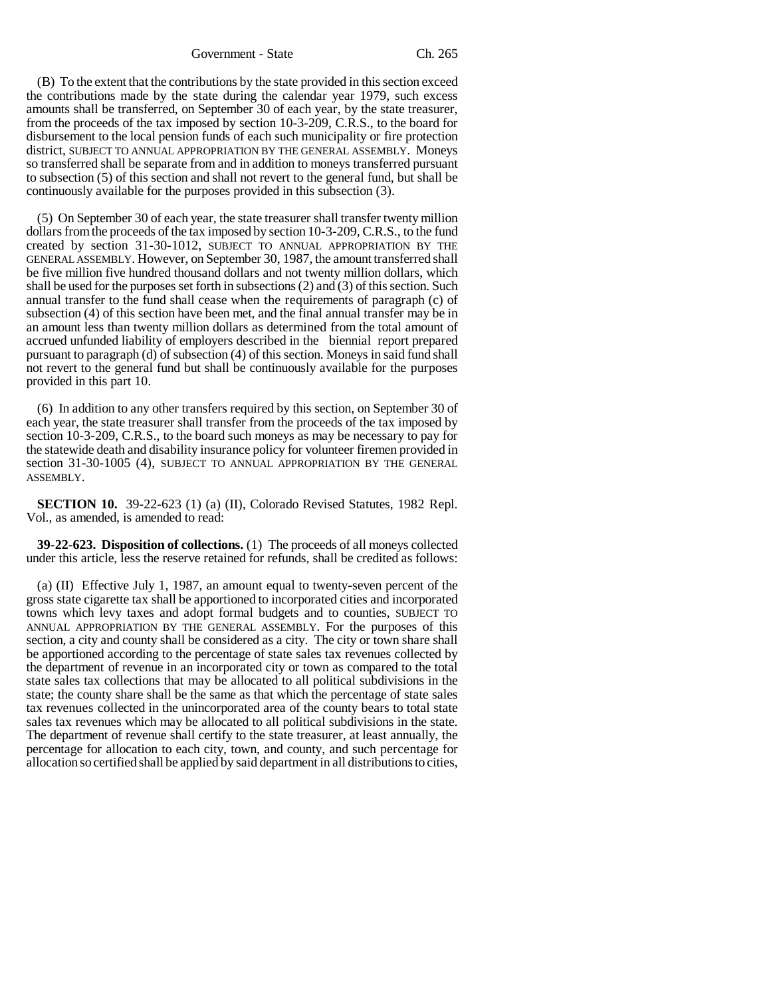#### Government - State Ch. 265

(B) To the extent that the contributions by the state provided in this section exceed the contributions made by the state during the calendar year 1979, such excess amounts shall be transferred, on September 30 of each year, by the state treasurer, from the proceeds of the tax imposed by section 10-3-209, C.R.S., to the board for disbursement to the local pension funds of each such municipality or fire protection district, SUBJECT TO ANNUAL APPROPRIATION BY THE GENERAL ASSEMBLY. Moneys so transferred shall be separate from and in addition to moneys transferred pursuant to subsection (5) of this section and shall not revert to the general fund, but shall be continuously available for the purposes provided in this subsection (3).

(5) On September 30 of each year, the state treasurer shall transfer twenty million dollars from the proceeds of the tax imposed by section 10-3-209, C.R.S., to the fund created by section 31-30-1012, SUBJECT TO ANNUAL APPROPRIATION BY THE GENERAL ASSEMBLY. However, on September 30, 1987, the amount transferred shall be five million five hundred thousand dollars and not twenty million dollars, which shall be used for the purposes set forth in subsections (2) and (3) of this section. Such annual transfer to the fund shall cease when the requirements of paragraph (c) of subsection (4) of this section have been met, and the final annual transfer may be in an amount less than twenty million dollars as determined from the total amount of accrued unfunded liability of employers described in the biennial report prepared pursuant to paragraph (d) of subsection (4) of this section. Moneys in said fund shall not revert to the general fund but shall be continuously available for the purposes provided in this part 10.

(6) In addition to any other transfers required by this section, on September 30 of each year, the state treasurer shall transfer from the proceeds of the tax imposed by section 10-3-209, C.R.S., to the board such moneys as may be necessary to pay for the statewide death and disability insurance policy for volunteer firemen provided in section 31-30-1005 (4), SUBJECT TO ANNUAL APPROPRIATION BY THE GENERAL ASSEMBLY.

**SECTION 10.** 39-22-623 (1) (a) (II), Colorado Revised Statutes, 1982 Repl. Vol., as amended, is amended to read:

**39-22-623. Disposition of collections.** (1) The proceeds of all moneys collected under this article, less the reserve retained for refunds, shall be credited as follows:

(a) (II) Effective July 1, 1987, an amount equal to twenty-seven percent of the gross state cigarette tax shall be apportioned to incorporated cities and incorporated towns which levy taxes and adopt formal budgets and to counties, SUBJECT TO ANNUAL APPROPRIATION BY THE GENERAL ASSEMBLY. For the purposes of this section, a city and county shall be considered as a city. The city or town share shall be apportioned according to the percentage of state sales tax revenues collected by the department of revenue in an incorporated city or town as compared to the total state sales tax collections that may be allocated to all political subdivisions in the state; the county share shall be the same as that which the percentage of state sales tax revenues collected in the unincorporated area of the county bears to total state sales tax revenues which may be allocated to all political subdivisions in the state. The department of revenue shall certify to the state treasurer, at least annually, the percentage for allocation to each city, town, and county, and such percentage for allocation so certified shall be applied by said department in all distributions to cities,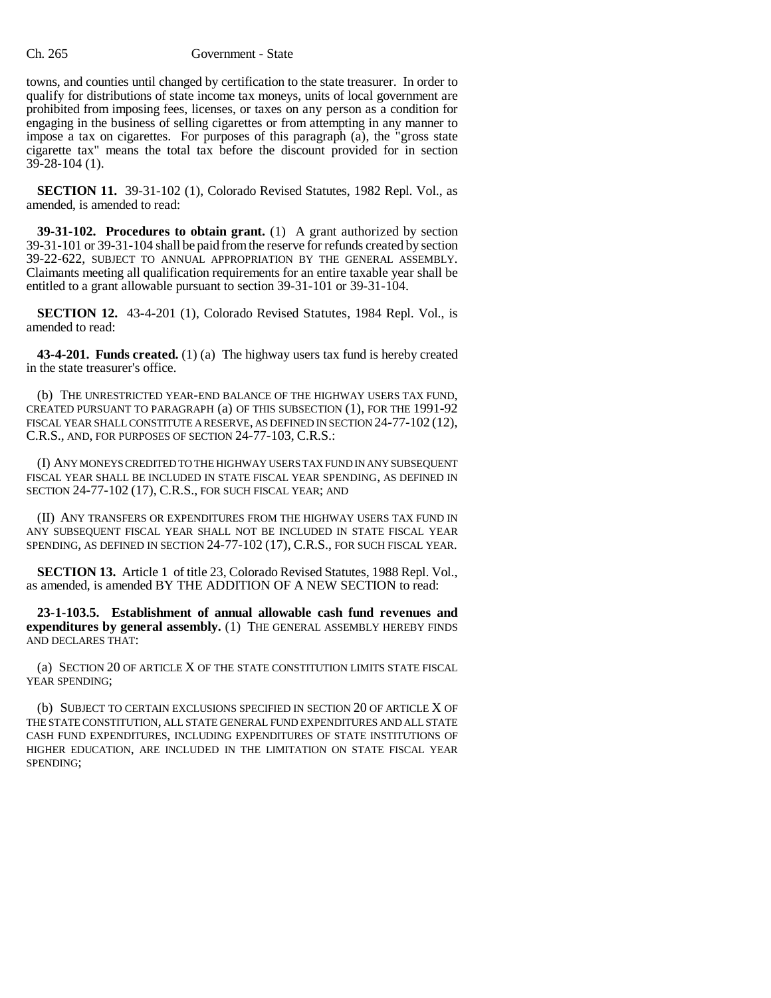towns, and counties until changed by certification to the state treasurer. In order to qualify for distributions of state income tax moneys, units of local government are prohibited from imposing fees, licenses, or taxes on any person as a condition for engaging in the business of selling cigarettes or from attempting in any manner to impose a tax on cigarettes. For purposes of this paragraph (a), the "gross state cigarette tax" means the total tax before the discount provided for in section 39-28-104 (1).

**SECTION 11.** 39-31-102 (1), Colorado Revised Statutes, 1982 Repl. Vol., as amended, is amended to read:

**39-31-102. Procedures to obtain grant.** (1) A grant authorized by section 39-31-101 or 39-31-104 shall be paid from the reserve for refunds created by section 39-22-622, SUBJECT TO ANNUAL APPROPRIATION BY THE GENERAL ASSEMBLY. Claimants meeting all qualification requirements for an entire taxable year shall be entitled to a grant allowable pursuant to section 39-31-101 or 39-31-104.

**SECTION 12.** 43-4-201 (1), Colorado Revised Statutes, 1984 Repl. Vol., is amended to read:

**43-4-201. Funds created.** (1) (a) The highway users tax fund is hereby created in the state treasurer's office.

(b) THE UNRESTRICTED YEAR-END BALANCE OF THE HIGHWAY USERS TAX FUND, CREATED PURSUANT TO PARAGRAPH (a) OF THIS SUBSECTION (1), FOR THE 1991-92 FISCAL YEAR SHALL CONSTITUTE A RESERVE, AS DEFINED IN SECTION 24-77-102 (12), C.R.S., AND, FOR PURPOSES OF SECTION 24-77-103, C.R.S.:

(I) ANY MONEYS CREDITED TO THE HIGHWAY USERS TAX FUND IN ANY SUBSEQUENT FISCAL YEAR SHALL BE INCLUDED IN STATE FISCAL YEAR SPENDING, AS DEFINED IN SECTION 24-77-102 (17), C.R.S., FOR SUCH FISCAL YEAR; AND

(II) ANY TRANSFERS OR EXPENDITURES FROM THE HIGHWAY USERS TAX FUND IN ANY SUBSEQUENT FISCAL YEAR SHALL NOT BE INCLUDED IN STATE FISCAL YEAR SPENDING, AS DEFINED IN SECTION 24-77-102 (17), C.R.S., FOR SUCH FISCAL YEAR.

**SECTION 13.** Article 1 of title 23, Colorado Revised Statutes, 1988 Repl. Vol., as amended, is amended BY THE ADDITION OF A NEW SECTION to read:

**23-1-103.5. Establishment of annual allowable cash fund revenues and expenditures by general assembly.** (1) THE GENERAL ASSEMBLY HEREBY FINDS AND DECLARES THAT:

(a) SECTION 20 OF ARTICLE X OF THE STATE CONSTITUTION LIMITS STATE FISCAL YEAR SPENDING;

(b) SUBJECT TO CERTAIN EXCLUSIONS SPECIFIED IN SECTION 20 OF ARTICLE X OF THE STATE CONSTITUTION, ALL STATE GENERAL FUND EXPENDITURES AND ALL STATE CASH FUND EXPENDITURES, INCLUDING EXPENDITURES OF STATE INSTITUTIONS OF HIGHER EDUCATION, ARE INCLUDED IN THE LIMITATION ON STATE FISCAL YEAR SPENDING;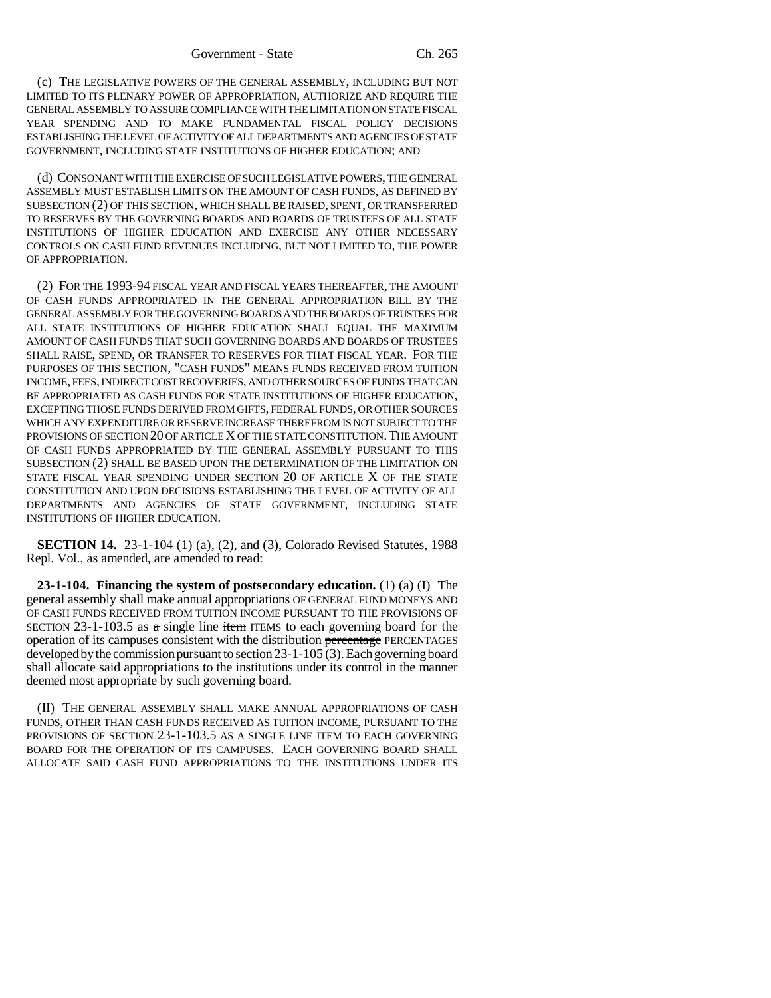(c) THE LEGISLATIVE POWERS OF THE GENERAL ASSEMBLY, INCLUDING BUT NOT LIMITED TO ITS PLENARY POWER OF APPROPRIATION, AUTHORIZE AND REQUIRE THE GENERAL ASSEMBLY TO ASSURE COMPLIANCE WITH THE LIMITATION ON STATE FISCAL YEAR SPENDING AND TO MAKE FUNDAMENTAL FISCAL POLICY DECISIONS ESTABLISHING THE LEVEL OF ACTIVITY OF ALL DEPARTMENTS AND AGENCIES OF STATE GOVERNMENT, INCLUDING STATE INSTITUTIONS OF HIGHER EDUCATION; AND

(d) CONSONANT WITH THE EXERCISE OF SUCH LEGISLATIVE POWERS, THE GENERAL ASSEMBLY MUST ESTABLISH LIMITS ON THE AMOUNT OF CASH FUNDS, AS DEFINED BY SUBSECTION (2) OF THIS SECTION, WHICH SHALL BE RAISED, SPENT, OR TRANSFERRED TO RESERVES BY THE GOVERNING BOARDS AND BOARDS OF TRUSTEES OF ALL STATE INSTITUTIONS OF HIGHER EDUCATION AND EXERCISE ANY OTHER NECESSARY CONTROLS ON CASH FUND REVENUES INCLUDING, BUT NOT LIMITED TO, THE POWER OF APPROPRIATION.

(2) FOR THE 1993-94 FISCAL YEAR AND FISCAL YEARS THEREAFTER, THE AMOUNT OF CASH FUNDS APPROPRIATED IN THE GENERAL APPROPRIATION BILL BY THE GENERAL ASSEMBLY FOR THE GOVERNING BOARDS AND THE BOARDS OF TRUSTEES FOR ALL STATE INSTITUTIONS OF HIGHER EDUCATION SHALL EQUAL THE MAXIMUM AMOUNT OF CASH FUNDS THAT SUCH GOVERNING BOARDS AND BOARDS OF TRUSTEES SHALL RAISE, SPEND, OR TRANSFER TO RESERVES FOR THAT FISCAL YEAR. FOR THE PURPOSES OF THIS SECTION, "CASH FUNDS" MEANS FUNDS RECEIVED FROM TUITION INCOME, FEES, INDIRECT COST RECOVERIES, AND OTHER SOURCES OF FUNDS THAT CAN BE APPROPRIATED AS CASH FUNDS FOR STATE INSTITUTIONS OF HIGHER EDUCATION, EXCEPTING THOSE FUNDS DERIVED FROM GIFTS, FEDERAL FUNDS, OR OTHER SOURCES WHICH ANY EXPENDITURE OR RESERVE INCREASE THEREFROM IS NOT SUBJECT TO THE PROVISIONS OF SECTION 20 OF ARTICLE X OF THE STATE CONSTITUTION. THE AMOUNT OF CASH FUNDS APPROPRIATED BY THE GENERAL ASSEMBLY PURSUANT TO THIS SUBSECTION (2) SHALL BE BASED UPON THE DETERMINATION OF THE LIMITATION ON STATE FISCAL YEAR SPENDING UNDER SECTION 20 OF ARTICLE X OF THE STATE CONSTITUTION AND UPON DECISIONS ESTABLISHING THE LEVEL OF ACTIVITY OF ALL DEPARTMENTS AND AGENCIES OF STATE GOVERNMENT, INCLUDING STATE INSTITUTIONS OF HIGHER EDUCATION.

**SECTION 14.** 23-1-104 (1) (a), (2), and (3), Colorado Revised Statutes, 1988 Repl. Vol., as amended, are amended to read:

**23-1-104. Financing the system of postsecondary education.** (1) (a) (I) The general assembly shall make annual appropriations OF GENERAL FUND MONEYS AND OF CASH FUNDS RECEIVED FROM TUITION INCOME PURSUANT TO THE PROVISIONS OF SECTION 23-1-103.5 as  $\alpha$  single line item ITEMS to each governing board for the operation of its campuses consistent with the distribution percentage PERCENTAGES developed by the commission pursuant to section 23-1-105 (3). Each governing board shall allocate said appropriations to the institutions under its control in the manner deemed most appropriate by such governing board.

(II) THE GENERAL ASSEMBLY SHALL MAKE ANNUAL APPROPRIATIONS OF CASH FUNDS, OTHER THAN CASH FUNDS RECEIVED AS TUITION INCOME, PURSUANT TO THE PROVISIONS OF SECTION 23-1-103.5 AS A SINGLE LINE ITEM TO EACH GOVERNING BOARD FOR THE OPERATION OF ITS CAMPUSES. EACH GOVERNING BOARD SHALL ALLOCATE SAID CASH FUND APPROPRIATIONS TO THE INSTITUTIONS UNDER ITS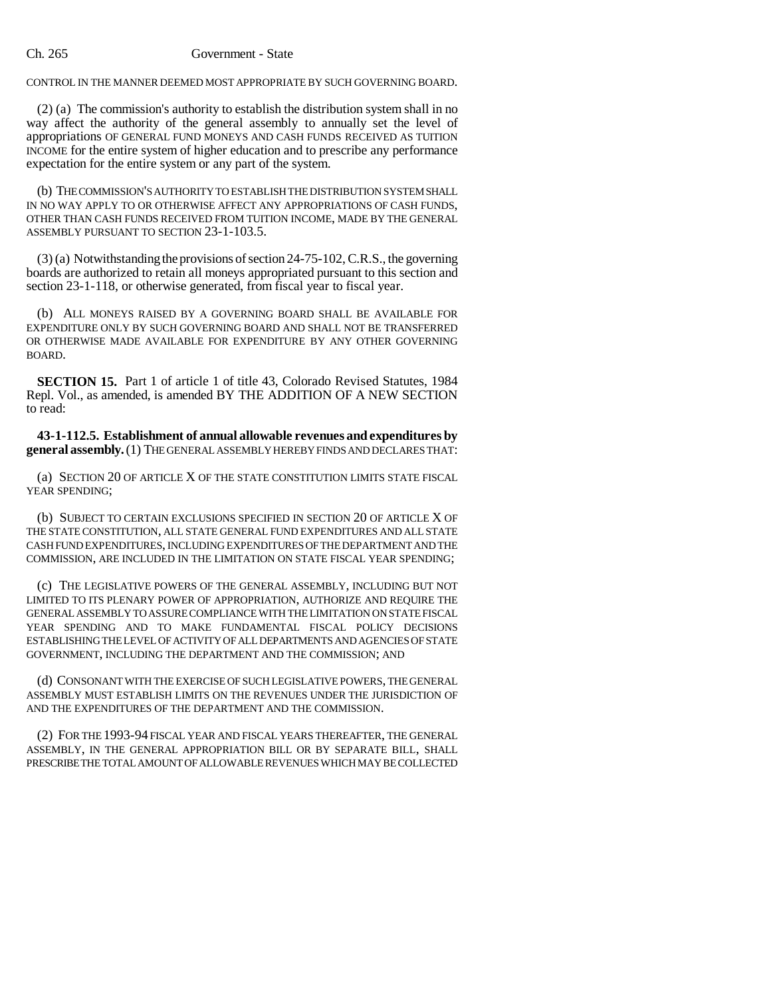CONTROL IN THE MANNER DEEMED MOST APPROPRIATE BY SUCH GOVERNING BOARD.

(2) (a) The commission's authority to establish the distribution system shall in no way affect the authority of the general assembly to annually set the level of appropriations OF GENERAL FUND MONEYS AND CASH FUNDS RECEIVED AS TUITION INCOME for the entire system of higher education and to prescribe any performance expectation for the entire system or any part of the system.

(b) THE COMMISSION'S AUTHORITY TO ESTABLISH THE DISTRIBUTION SYSTEM SHALL IN NO WAY APPLY TO OR OTHERWISE AFFECT ANY APPROPRIATIONS OF CASH FUNDS, OTHER THAN CASH FUNDS RECEIVED FROM TUITION INCOME, MADE BY THE GENERAL ASSEMBLY PURSUANT TO SECTION 23-1-103.5.

(3) (a) Notwithstanding the provisions of section 24-75-102, C.R.S., the governing boards are authorized to retain all moneys appropriated pursuant to this section and section 23-1-118, or otherwise generated, from fiscal year to fiscal year.

(b) ALL MONEYS RAISED BY A GOVERNING BOARD SHALL BE AVAILABLE FOR EXPENDITURE ONLY BY SUCH GOVERNING BOARD AND SHALL NOT BE TRANSFERRED OR OTHERWISE MADE AVAILABLE FOR EXPENDITURE BY ANY OTHER GOVERNING BOARD.

**SECTION 15.** Part 1 of article 1 of title 43, Colorado Revised Statutes, 1984 Repl. Vol., as amended, is amended BY THE ADDITION OF A NEW SECTION to read:

**43-1-112.5. Establishment of annual allowable revenues and expenditures by general assembly.** (1) THE GENERAL ASSEMBLY HEREBY FINDS AND DECLARES THAT:

(a) SECTION 20 OF ARTICLE X OF THE STATE CONSTITUTION LIMITS STATE FISCAL YEAR SPENDING:

(b) SUBJECT TO CERTAIN EXCLUSIONS SPECIFIED IN SECTION 20 OF ARTICLE X OF THE STATE CONSTITUTION, ALL STATE GENERAL FUND EXPENDITURES AND ALL STATE CASH FUND EXPENDITURES, INCLUDING EXPENDITURES OF THE DEPARTMENT AND THE COMMISSION, ARE INCLUDED IN THE LIMITATION ON STATE FISCAL YEAR SPENDING;

(c) THE LEGISLATIVE POWERS OF THE GENERAL ASSEMBLY, INCLUDING BUT NOT LIMITED TO ITS PLENARY POWER OF APPROPRIATION, AUTHORIZE AND REQUIRE THE GENERAL ASSEMBLY TO ASSURE COMPLIANCE WITH THE LIMITATION ON STATE FISCAL YEAR SPENDING AND TO MAKE FUNDAMENTAL FISCAL POLICY DECISIONS ESTABLISHING THE LEVEL OF ACTIVITY OF ALL DEPARTMENTS AND AGENCIES OF STATE GOVERNMENT, INCLUDING THE DEPARTMENT AND THE COMMISSION; AND

(d) CONSONANT WITH THE EXERCISE OF SUCH LEGISLATIVE POWERS, THE GENERAL ASSEMBLY MUST ESTABLISH LIMITS ON THE REVENUES UNDER THE JURISDICTION OF AND THE EXPENDITURES OF THE DEPARTMENT AND THE COMMISSION.

(2) FOR THE 1993-94 FISCAL YEAR AND FISCAL YEARS THEREAFTER, THE GENERAL ASSEMBLY, IN THE GENERAL APPROPRIATION BILL OR BY SEPARATE BILL, SHALL PRESCRIBE THE TOTAL AMOUNT OF ALLOWABLE REVENUES WHICH MAY BE COLLECTED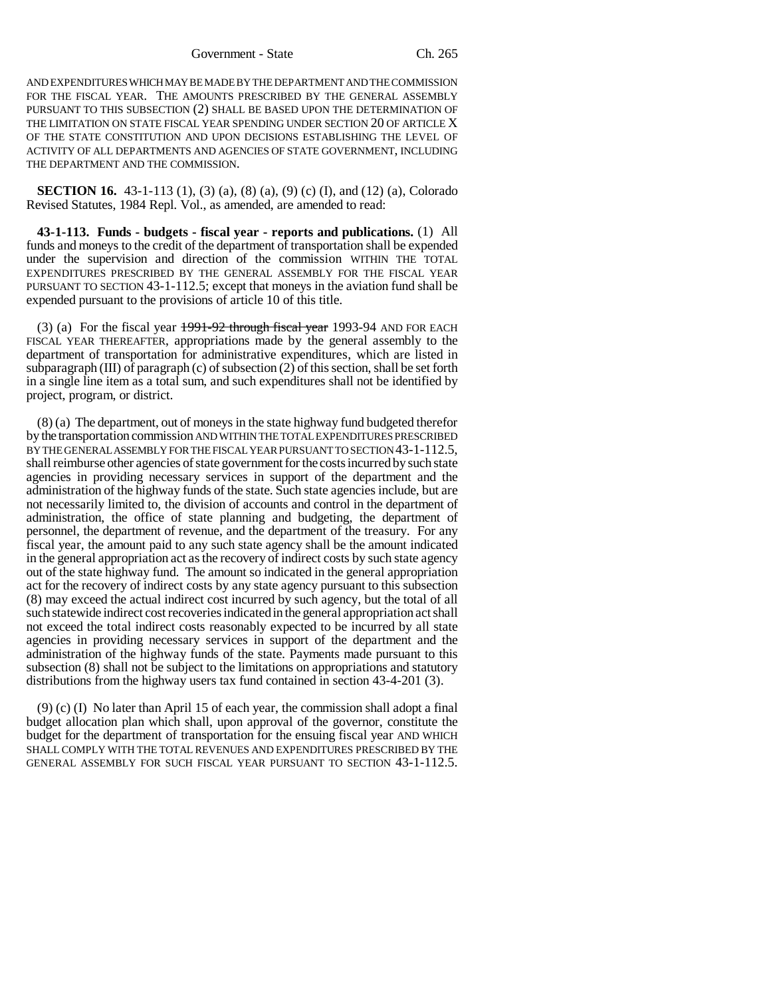Government - State Ch. 265

AND EXPENDITURES WHICH MAY BE MADE BY THE DEPARTMENT AND THE COMMISSION FOR THE FISCAL YEAR. THE AMOUNTS PRESCRIBED BY THE GENERAL ASSEMBLY PURSUANT TO THIS SUBSECTION (2) SHALL BE BASED UPON THE DETERMINATION OF THE LIMITATION ON STATE FISCAL YEAR SPENDING UNDER SECTION 20 OF ARTICLE X OF THE STATE CONSTITUTION AND UPON DECISIONS ESTABLISHING THE LEVEL OF ACTIVITY OF ALL DEPARTMENTS AND AGENCIES OF STATE GOVERNMENT, INCLUDING THE DEPARTMENT AND THE COMMISSION.

**SECTION 16.** 43-1-113 (1), (3) (a), (8) (a), (9) (c) (I), and (12) (a), Colorado Revised Statutes, 1984 Repl. Vol., as amended, are amended to read:

**43-1-113. Funds - budgets - fiscal year - reports and publications.** (1) All funds and moneys to the credit of the department of transportation shall be expended under the supervision and direction of the commission WITHIN THE TOTAL EXPENDITURES PRESCRIBED BY THE GENERAL ASSEMBLY FOR THE FISCAL YEAR PURSUANT TO SECTION 43-1-112.5; except that moneys in the aviation fund shall be expended pursuant to the provisions of article 10 of this title.

(3) (a) For the fiscal year  $\frac{1991-92}{2}$  through fiscal year 1993-94 AND FOR EACH FISCAL YEAR THEREAFTER, appropriations made by the general assembly to the department of transportation for administrative expenditures, which are listed in subparagraph (III) of paragraph (c) of subsection (2) of this section, shall be set forth in a single line item as a total sum, and such expenditures shall not be identified by project, program, or district.

(8) (a) The department, out of moneys in the state highway fund budgeted therefor by the transportation commission AND WITHIN THE TOTAL EXPENDITURES PRESCRIBED BY THE GENERAL ASSEMBLY FOR THE FISCAL YEAR PURSUANT TO SECTION 43-1-112.5, shall reimburse other agencies of state government for the costs incurred by such state agencies in providing necessary services in support of the department and the administration of the highway funds of the state. Such state agencies include, but are not necessarily limited to, the division of accounts and control in the department of administration, the office of state planning and budgeting, the department of personnel, the department of revenue, and the department of the treasury. For any fiscal year, the amount paid to any such state agency shall be the amount indicated in the general appropriation act as the recovery of indirect costs by such state agency out of the state highway fund. The amount so indicated in the general appropriation act for the recovery of indirect costs by any state agency pursuant to this subsection (8) may exceed the actual indirect cost incurred by such agency, but the total of all such statewide indirect cost recoveries indicated in the general appropriation act shall not exceed the total indirect costs reasonably expected to be incurred by all state agencies in providing necessary services in support of the department and the administration of the highway funds of the state. Payments made pursuant to this subsection (8) shall not be subject to the limitations on appropriations and statutory distributions from the highway users tax fund contained in section 43-4-201 (3).

(9) (c) (I) No later than April 15 of each year, the commission shall adopt a final budget allocation plan which shall, upon approval of the governor, constitute the budget for the department of transportation for the ensuing fiscal year AND WHICH SHALL COMPLY WITH THE TOTAL REVENUES AND EXPENDITURES PRESCRIBED BY THE GENERAL ASSEMBLY FOR SUCH FISCAL YEAR PURSUANT TO SECTION 43-1-112.5.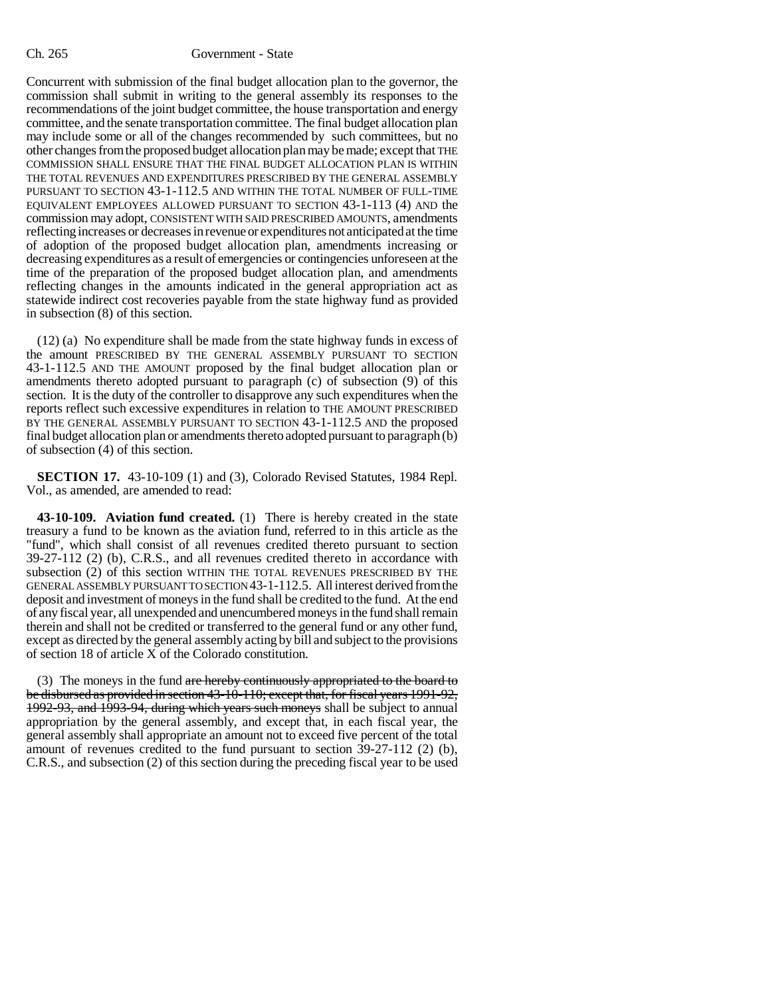Concurrent with submission of the final budget allocation plan to the governor, the commission shall submit in writing to the general assembly its responses to the recommendations of the joint budget committee, the house transportation and energy committee, and the senate transportation committee. The final budget allocation plan may include some or all of the changes recommended by such committees, but no other changes from the proposed budget allocation plan may be made; except that THE COMMISSION SHALL ENSURE THAT THE FINAL BUDGET ALLOCATION PLAN IS WITHIN THE TOTAL REVENUES AND EXPENDITURES PRESCRIBED BY THE GENERAL ASSEMBLY PURSUANT TO SECTION 43-1-112.5 AND WITHIN THE TOTAL NUMBER OF FULL-TIME EQUIVALENT EMPLOYEES ALLOWED PURSUANT TO SECTION 43-1-113 (4) AND the commission may adopt, CONSISTENT WITH SAID PRESCRIBED AMOUNTS, amendments reflecting increases or decreases in revenue or expenditures not anticipated at the time of adoption of the proposed budget allocation plan, amendments increasing or decreasing expenditures as a result of emergencies or contingencies unforeseen at the time of the preparation of the proposed budget allocation plan, and amendments reflecting changes in the amounts indicated in the general appropriation act as statewide indirect cost recoveries payable from the state highway fund as provided in subsection (8) of this section.

(12) (a) No expenditure shall be made from the state highway funds in excess of the amount PRESCRIBED BY THE GENERAL ASSEMBLY PURSUANT TO SECTION 43-1-112.5 AND THE AMOUNT proposed by the final budget allocation plan or amendments thereto adopted pursuant to paragraph (c) of subsection (9) of this section. It is the duty of the controller to disapprove any such expenditures when the reports reflect such excessive expenditures in relation to THE AMOUNT PRESCRIBED BY THE GENERAL ASSEMBLY PURSUANT TO SECTION 43-1-112.5 AND the proposed final budget allocation plan or amendments thereto adopted pursuant to paragraph (b) of subsection (4) of this section.

**SECTION 17.** 43-10-109 (1) and (3), Colorado Revised Statutes, 1984 Repl. Vol., as amended, are amended to read:

**43-10-109. Aviation fund created.** (1) There is hereby created in the state treasury a fund to be known as the aviation fund, referred to in this article as the "fund", which shall consist of all revenues credited thereto pursuant to section 39-27-112 (2) (b), C.R.S., and all revenues credited thereto in accordance with subsection (2) of this section WITHIN THE TOTAL REVENUES PRESCRIBED BY THE GENERAL ASSEMBLY PURSUANT TO SECTION 43-1-112.5. All interest derived from the deposit and investment of moneys in the fund shall be credited to the fund. At the end of any fiscal year, all unexpended and unencumbered moneys in the fund shall remain therein and shall not be credited or transferred to the general fund or any other fund, except as directed by the general assembly acting by bill and subject to the provisions of section 18 of article X of the Colorado constitution.

(3) The moneys in the fund are hereby continuously appropriated to the board to be disbursed as provided in section 43-10-110; except that, for fiscal years 1991-92, 1992-93, and 1993-94, during which years such moneys shall be subject to annual appropriation by the general assembly, and except that, in each fiscal year, the general assembly shall appropriate an amount not to exceed five percent of the total amount of revenues credited to the fund pursuant to section 39-27-112 (2) (b), C.R.S., and subsection (2) of this section during the preceding fiscal year to be used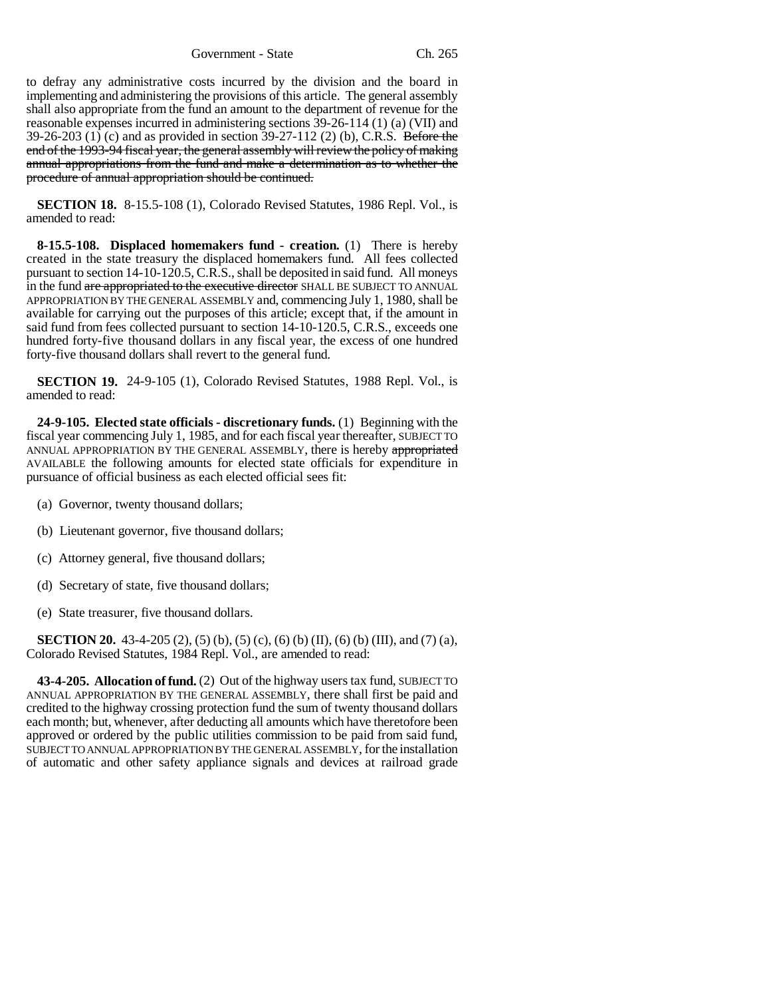Government - State Ch. 265

to defray any administrative costs incurred by the division and the board in implementing and administering the provisions of this article. The general assembly shall also appropriate from the fund an amount to the department of revenue for the reasonable expenses incurred in administering sections 39-26-114 (1) (a) (VII) and 39-26-203 (1) (c) and as provided in section 39-27-112 (2) (b), C.R.S. Before the end of the 1993-94 fiscal year, the general assembly will review the policy of making annual appropriations from the fund and make a determination as to whether the procedure of annual appropriation should be continued.

**SECTION 18.** 8-15.5-108 (1), Colorado Revised Statutes, 1986 Repl. Vol., is amended to read:

**8-15.5-108. Displaced homemakers fund - creation.** (1) There is hereby created in the state treasury the displaced homemakers fund. All fees collected pursuant to section 14-10-120.5, C.R.S., shall be deposited in said fund. All moneys in the fund are appropriated to the executive director SHALL BE SUBJECT TO ANNUAL APPROPRIATION BY THE GENERAL ASSEMBLY and, commencing July 1, 1980, shall be available for carrying out the purposes of this article; except that, if the amount in said fund from fees collected pursuant to section 14-10-120.5, C.R.S., exceeds one hundred forty-five thousand dollars in any fiscal year, the excess of one hundred forty-five thousand dollars shall revert to the general fund.

**SECTION 19.** 24-9-105 (1), Colorado Revised Statutes, 1988 Repl. Vol., is amended to read:

**24-9-105. Elected state officials - discretionary funds.** (1) Beginning with the fiscal year commencing July 1, 1985, and for each fiscal year thereafter, SUBJECT TO ANNUAL APPROPRIATION BY THE GENERAL ASSEMBLY, there is hereby appropriated AVAILABLE the following amounts for elected state officials for expenditure in pursuance of official business as each elected official sees fit:

- (a) Governor, twenty thousand dollars;
- (b) Lieutenant governor, five thousand dollars;
- (c) Attorney general, five thousand dollars;
- (d) Secretary of state, five thousand dollars;
- (e) State treasurer, five thousand dollars.

**SECTION 20.** 43-4-205 (2), (5) (b), (5) (c), (6) (b) (II), (6) (b) (III), and (7) (a), Colorado Revised Statutes, 1984 Repl. Vol., are amended to read:

**43-4-205. Allocation of fund.** (2) Out of the highway users tax fund, SUBJECT TO ANNUAL APPROPRIATION BY THE GENERAL ASSEMBLY, there shall first be paid and credited to the highway crossing protection fund the sum of twenty thousand dollars each month; but, whenever, after deducting all amounts which have theretofore been approved or ordered by the public utilities commission to be paid from said fund, SUBJECT TO ANNUAL APPROPRIATION BY THE GENERAL ASSEMBLY, for the installation of automatic and other safety appliance signals and devices at railroad grade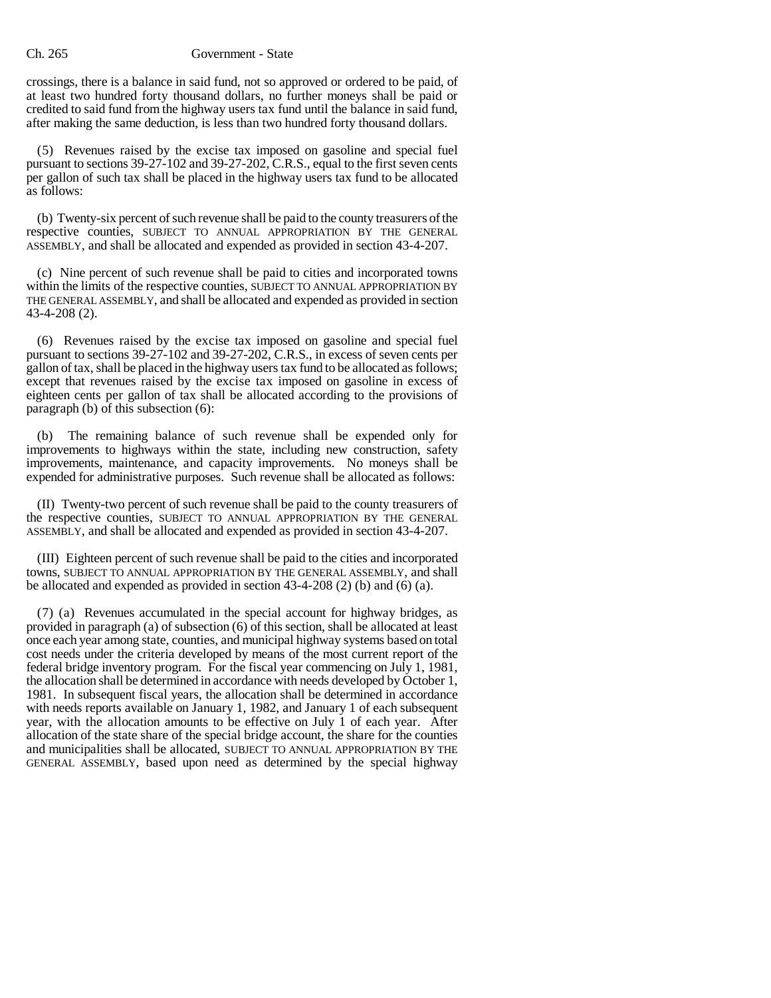crossings, there is a balance in said fund, not so approved or ordered to be paid, of at least two hundred forty thousand dollars, no further moneys shall be paid or credited to said fund from the highway users tax fund until the balance in said fund, after making the same deduction, is less than two hundred forty thousand dollars.

(5) Revenues raised by the excise tax imposed on gasoline and special fuel pursuant to sections 39-27-102 and 39-27-202, C.R.S., equal to the first seven cents per gallon of such tax shall be placed in the highway users tax fund to be allocated as follows:

(b) Twenty-six percent of such revenue shall be paid to the county treasurers of the respective counties, SUBJECT TO ANNUAL APPROPRIATION BY THE GENERAL ASSEMBLY, and shall be allocated and expended as provided in section 43-4-207.

(c) Nine percent of such revenue shall be paid to cities and incorporated towns within the limits of the respective counties, SUBJECT TO ANNUAL APPROPRIATION BY THE GENERAL ASSEMBLY, and shall be allocated and expended as provided in section 43-4-208 (2).

(6) Revenues raised by the excise tax imposed on gasoline and special fuel pursuant to sections 39-27-102 and 39-27-202, C.R.S., in excess of seven cents per gallon of tax, shall be placed in the highway users tax fund to be allocated as follows; except that revenues raised by the excise tax imposed on gasoline in excess of eighteen cents per gallon of tax shall be allocated according to the provisions of paragraph (b) of this subsection (6):

The remaining balance of such revenue shall be expended only for improvements to highways within the state, including new construction, safety improvements, maintenance, and capacity improvements. No moneys shall be expended for administrative purposes. Such revenue shall be allocated as follows:

(II) Twenty-two percent of such revenue shall be paid to the county treasurers of the respective counties, SUBJECT TO ANNUAL APPROPRIATION BY THE GENERAL ASSEMBLY, and shall be allocated and expended as provided in section 43-4-207.

(III) Eighteen percent of such revenue shall be paid to the cities and incorporated towns, SUBJECT TO ANNUAL APPROPRIATION BY THE GENERAL ASSEMBLY, and shall be allocated and expended as provided in section 43-4-208 (2) (b) and (6) (a).

(7) (a) Revenues accumulated in the special account for highway bridges, as provided in paragraph (a) of subsection (6) of this section, shall be allocated at least once each year among state, counties, and municipal highway systems based on total cost needs under the criteria developed by means of the most current report of the federal bridge inventory program. For the fiscal year commencing on July 1, 1981, the allocation shall be determined in accordance with needs developed by October 1, 1981. In subsequent fiscal years, the allocation shall be determined in accordance with needs reports available on January 1, 1982, and January 1 of each subsequent year, with the allocation amounts to be effective on July 1 of each year. After allocation of the state share of the special bridge account, the share for the counties and municipalities shall be allocated, SUBJECT TO ANNUAL APPROPRIATION BY THE GENERAL ASSEMBLY, based upon need as determined by the special highway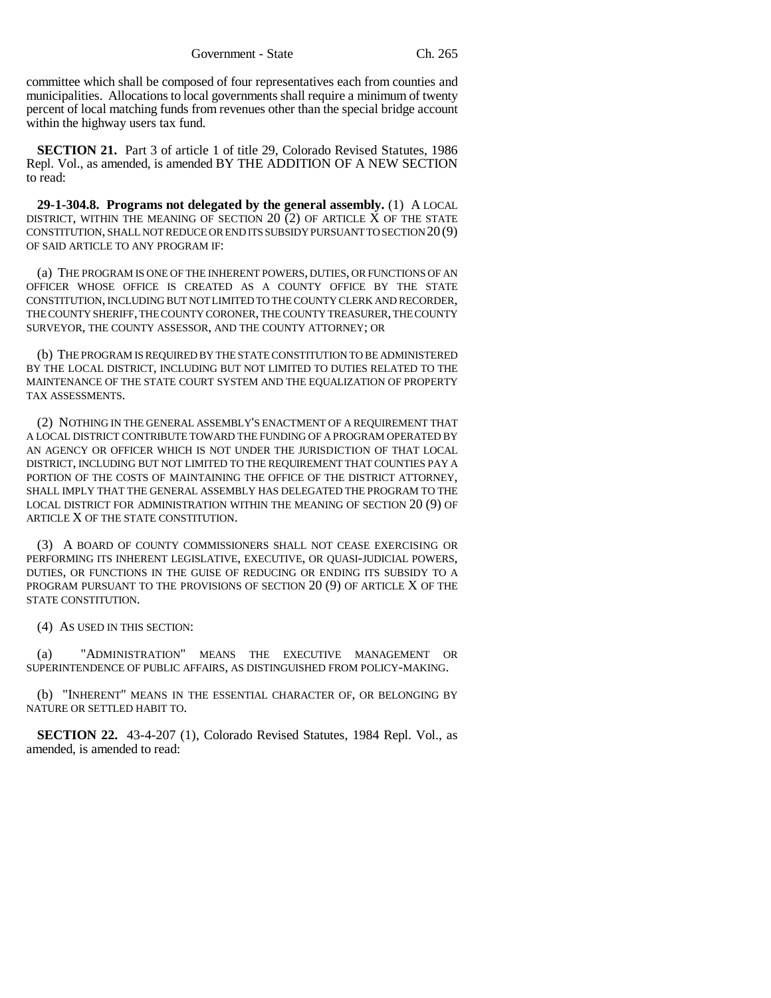committee which shall be composed of four representatives each from counties and municipalities. Allocations to local governments shall require a minimum of twenty percent of local matching funds from revenues other than the special bridge account within the highway users tax fund.

**SECTION 21.** Part 3 of article 1 of title 29, Colorado Revised Statutes, 1986 Repl. Vol., as amended, is amended BY THE ADDITION OF A NEW SECTION to read:

**29-1-304.8. Programs not delegated by the general assembly.** (1) A LOCAL DISTRICT, WITHIN THE MEANING OF SECTION 20 (2) OF ARTICLE X OF THE STATE CONSTITUTION, SHALL NOT REDUCE OR END ITS SUBSIDY PURSUANT TO SECTION 20 (9) OF SAID ARTICLE TO ANY PROGRAM IF:

(a) THE PROGRAM IS ONE OF THE INHERENT POWERS, DUTIES, OR FUNCTIONS OF AN OFFICER WHOSE OFFICE IS CREATED AS A COUNTY OFFICE BY THE STATE CONSTITUTION, INCLUDING BUT NOT LIMITED TO THE COUNTY CLERK AND RECORDER, THE COUNTY SHERIFF, THE COUNTY CORONER, THE COUNTY TREASURER, THE COUNTY SURVEYOR, THE COUNTY ASSESSOR, AND THE COUNTY ATTORNEY; OR

(b) THE PROGRAM IS REQUIRED BY THE STATE CONSTITUTION TO BE ADMINISTERED BY THE LOCAL DISTRICT, INCLUDING BUT NOT LIMITED TO DUTIES RELATED TO THE MAINTENANCE OF THE STATE COURT SYSTEM AND THE EQUALIZATION OF PROPERTY TAX ASSESSMENTS.

(2) NOTHING IN THE GENERAL ASSEMBLY'S ENACTMENT OF A REQUIREMENT THAT A LOCAL DISTRICT CONTRIBUTE TOWARD THE FUNDING OF A PROGRAM OPERATED BY AN AGENCY OR OFFICER WHICH IS NOT UNDER THE JURISDICTION OF THAT LOCAL DISTRICT, INCLUDING BUT NOT LIMITED TO THE REQUIREMENT THAT COUNTIES PAY A PORTION OF THE COSTS OF MAINTAINING THE OFFICE OF THE DISTRICT ATTORNEY, SHALL IMPLY THAT THE GENERAL ASSEMBLY HAS DELEGATED THE PROGRAM TO THE LOCAL DISTRICT FOR ADMINISTRATION WITHIN THE MEANING OF SECTION 20 (9) OF ARTICLE X OF THE STATE CONSTITUTION.

(3) A BOARD OF COUNTY COMMISSIONERS SHALL NOT CEASE EXERCISING OR PERFORMING ITS INHERENT LEGISLATIVE, EXECUTIVE, OR QUASI-JUDICIAL POWERS, DUTIES, OR FUNCTIONS IN THE GUISE OF REDUCING OR ENDING ITS SUBSIDY TO A PROGRAM PURSUANT TO THE PROVISIONS OF SECTION 20 (9) OF ARTICLE X OF THE STATE CONSTITUTION.

(4) AS USED IN THIS SECTION:

(a) "ADMINISTRATION" MEANS THE EXECUTIVE MANAGEMENT OR SUPERINTENDENCE OF PUBLIC AFFAIRS, AS DISTINGUISHED FROM POLICY-MAKING.

(b) "INHERENT" MEANS IN THE ESSENTIAL CHARACTER OF, OR BELONGING BY NATURE OR SETTLED HABIT TO.

**SECTION 22.** 43-4-207 (1), Colorado Revised Statutes, 1984 Repl. Vol., as amended, is amended to read: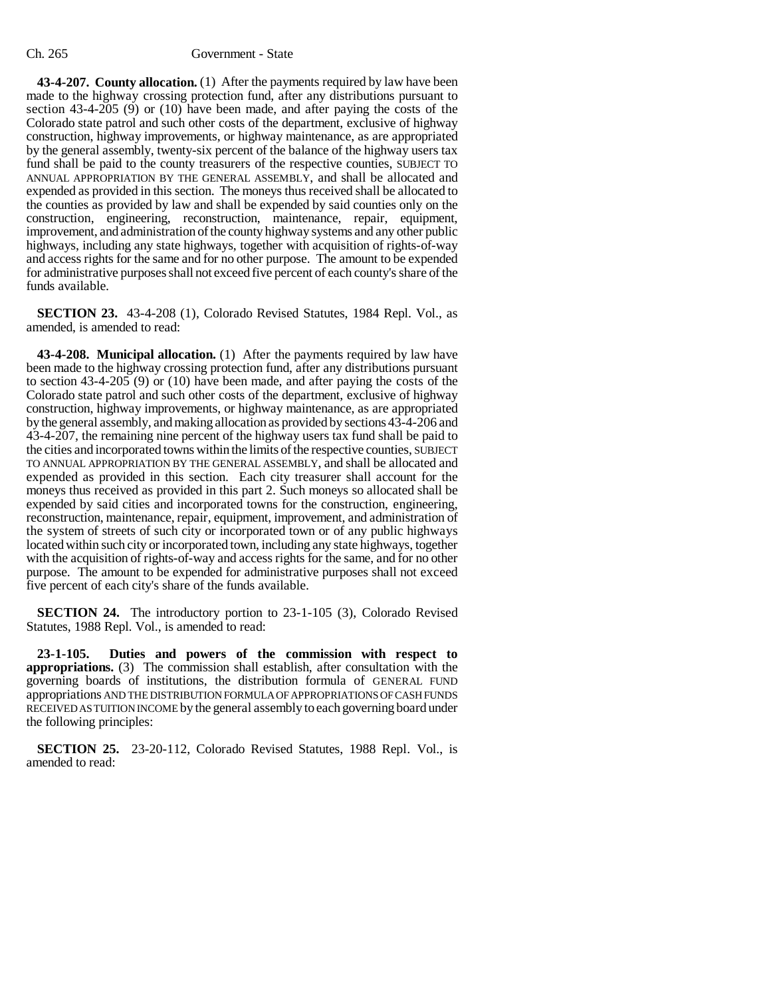**43-4-207. County allocation.** (1) After the payments required by law have been made to the highway crossing protection fund, after any distributions pursuant to section 43-4-205 (9) or (10) have been made, and after paying the costs of the Colorado state patrol and such other costs of the department, exclusive of highway construction, highway improvements, or highway maintenance, as are appropriated by the general assembly, twenty-six percent of the balance of the highway users tax fund shall be paid to the county treasurers of the respective counties, SUBJECT TO ANNUAL APPROPRIATION BY THE GENERAL ASSEMBLY, and shall be allocated and expended as provided in this section. The moneys thus received shall be allocated to the counties as provided by law and shall be expended by said counties only on the construction, engineering, reconstruction, maintenance, repair, equipment, improvement, and administration of the county highway systems and any other public highways, including any state highways, together with acquisition of rights-of-way and access rights for the same and for no other purpose. The amount to be expended for administrative purposes shall not exceed five percent of each county's share of the funds available.

**SECTION 23.** 43-4-208 (1), Colorado Revised Statutes, 1984 Repl. Vol., as amended, is amended to read:

**43-4-208. Municipal allocation.** (1) After the payments required by law have been made to the highway crossing protection fund, after any distributions pursuant to section 43-4-205 (9) or (10) have been made, and after paying the costs of the Colorado state patrol and such other costs of the department, exclusive of highway construction, highway improvements, or highway maintenance, as are appropriated by the general assembly, and making allocation as provided by sections 43-4-206 and 43-4-207, the remaining nine percent of the highway users tax fund shall be paid to the cities and incorporated towns within the limits of the respective counties, SUBJECT TO ANNUAL APPROPRIATION BY THE GENERAL ASSEMBLY, and shall be allocated and expended as provided in this section. Each city treasurer shall account for the moneys thus received as provided in this part 2. Such moneys so allocated shall be expended by said cities and incorporated towns for the construction, engineering, reconstruction, maintenance, repair, equipment, improvement, and administration of the system of streets of such city or incorporated town or of any public highways located within such city or incorporated town, including any state highways, together with the acquisition of rights-of-way and access rights for the same, and for no other purpose. The amount to be expended for administrative purposes shall not exceed five percent of each city's share of the funds available.

**SECTION 24.** The introductory portion to 23-1-105 (3), Colorado Revised Statutes, 1988 Repl. Vol., is amended to read:

**23-1-105. Duties and powers of the commission with respect to appropriations.** (3) The commission shall establish, after consultation with the governing boards of institutions, the distribution formula of GENERAL FUND appropriations AND THE DISTRIBUTION FORMULA OF APPROPRIATIONS OF CASH FUNDS RECEIVED AS TUITION INCOME by the general assembly to each governing board under the following principles:

**SECTION 25.** 23-20-112, Colorado Revised Statutes, 1988 Repl. Vol., is amended to read: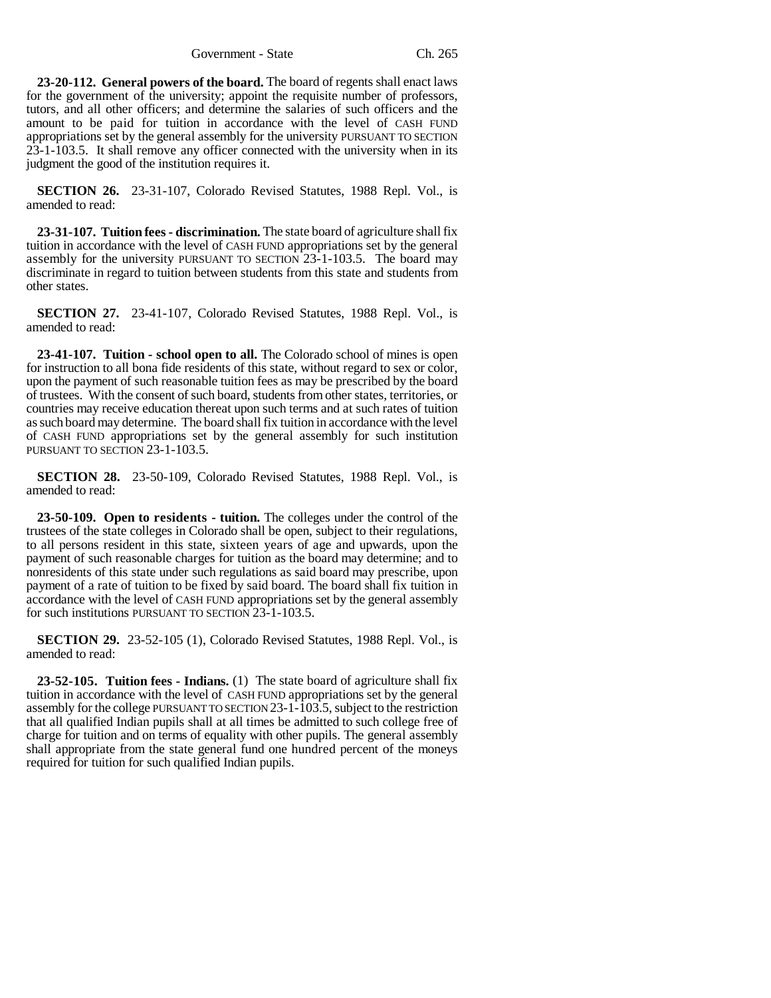Government - State Ch. 265

**23-20-112. General powers of the board.** The board of regents shall enact laws for the government of the university; appoint the requisite number of professors, tutors, and all other officers; and determine the salaries of such officers and the amount to be paid for tuition in accordance with the level of CASH FUND appropriations set by the general assembly for the university PURSUANT TO SECTION 23-1-103.5. It shall remove any officer connected with the university when in its judgment the good of the institution requires it.

**SECTION 26.** 23-31-107, Colorado Revised Statutes, 1988 Repl. Vol., is amended to read:

**23-31-107. Tuition fees - discrimination.** The state board of agriculture shall fix tuition in accordance with the level of CASH FUND appropriations set by the general assembly for the university PURSUANT TO SECTION 23-1-103.5. The board may discriminate in regard to tuition between students from this state and students from other states.

**SECTION 27.** 23-41-107, Colorado Revised Statutes, 1988 Repl. Vol., is amended to read:

**23-41-107. Tuition - school open to all.** The Colorado school of mines is open for instruction to all bona fide residents of this state, without regard to sex or color, upon the payment of such reasonable tuition fees as may be prescribed by the board of trustees. With the consent of such board, students from other states, territories, or countries may receive education thereat upon such terms and at such rates of tuition as such board may determine. The board shall fix tuition in accordance with the level of CASH FUND appropriations set by the general assembly for such institution PURSUANT TO SECTION 23-1-103.5.

**SECTION 28.** 23-50-109, Colorado Revised Statutes, 1988 Repl. Vol., is amended to read:

**23-50-109. Open to residents - tuition.** The colleges under the control of the trustees of the state colleges in Colorado shall be open, subject to their regulations, to all persons resident in this state, sixteen years of age and upwards, upon the payment of such reasonable charges for tuition as the board may determine; and to nonresidents of this state under such regulations as said board may prescribe, upon payment of a rate of tuition to be fixed by said board. The board shall fix tuition in accordance with the level of CASH FUND appropriations set by the general assembly for such institutions PURSUANT TO SECTION 23-1-103.5.

**SECTION 29.** 23-52-105 (1), Colorado Revised Statutes, 1988 Repl. Vol., is amended to read:

**23-52-105. Tuition fees - Indians.** (1) The state board of agriculture shall fix tuition in accordance with the level of CASH FUND appropriations set by the general assembly for the college PURSUANT TO SECTION 23-1-103.5, subject to the restriction that all qualified Indian pupils shall at all times be admitted to such college free of charge for tuition and on terms of equality with other pupils. The general assembly shall appropriate from the state general fund one hundred percent of the moneys required for tuition for such qualified Indian pupils.